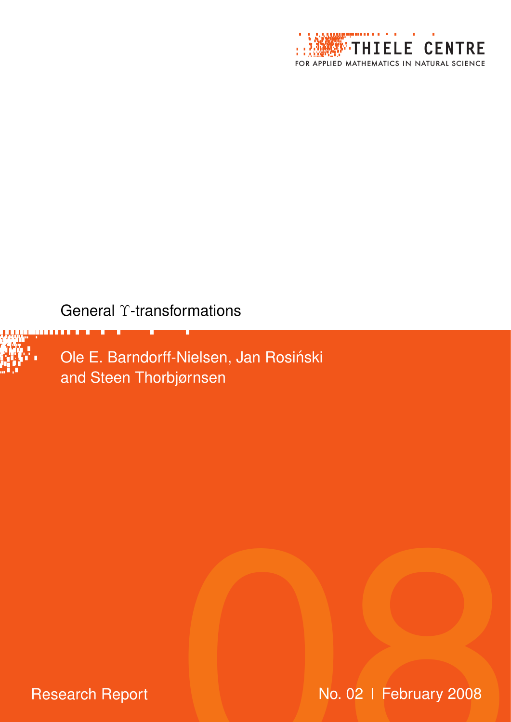

# General T-transformations



**Research Report** 

No. 02 | February 2008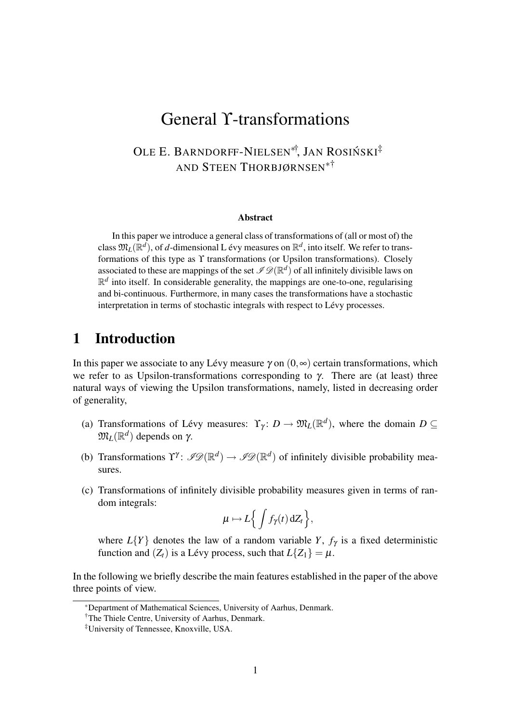# General ϒ-transformations

## OLE E. BARNDORFF-NIELSEN<sup>\*†</sup>, JAN ROSIŃSKI<sup>‡</sup> AND STEEN THORBJØRNSEN∗†

#### **Abstract**

In this paper we introduce a general class of transformations of (all or most of) the class  $\mathfrak{M}_L(\mathbb{R}^d)$ , of  $d$ -dimensional L évy measures on  $\mathbb{R}^d$ , into itself. We refer to transformations of this type as  $\Upsilon$  transformations (or Upsilon transformations). Closely associated to these are mappings of the set  $\mathscr{I}\mathscr{D}(\mathbb{R}^d)$  of all infinitely divisible laws on  $\mathbb{R}^d$  into itself. In considerable generality, the mappings are one-to-one, regularising and bi-continuous. Furthermore, in many cases the transformations have a stochastic interpretation in terms of stochastic integrals with respect to Lévy processes.

### 1 Introduction

In this paper we associate to any Lévy measure  $\gamma$  on  $(0, \infty)$  certain transformations, which we refer to as Upsilon-transformations corresponding to  $\gamma$ . There are (at least) three natural ways of viewing the Upsilon transformations, namely, listed in decreasing order of generality,

- (a) Transformations of Lévy measures:  $\Upsilon_{\gamma}: D \to \mathfrak{M}_{L}(\mathbb{R}^{d})$ , where the domain  $D \subseteq$  $\mathfrak{M}_L(\mathbb{R}^d)$  depends on γ.
- (b) Transformations  $\Upsilon^{\gamma}$ :  $\mathscr{P}(\mathbb{R}^d) \to \mathscr{P}(\mathbb{R}^d)$  of infinitely divisible probability measures.
- (c) Transformations of infinitely divisible probability measures given in terms of random integrals:

$$
\mu \mapsto L\Big\{\int f_\gamma(t)\,\mathrm{d}Z_t\Big\},\
$$

where  $L{Y}$  denotes the law of a random variable *Y*,  $f_{\gamma}$  is a fixed deterministic function and  $(Z_t)$  is a Lévy process, such that  $L\{Z_1\} = \mu$ .

In the following we briefly describe the main features established in the paper of the above three points of view.

<sup>∗</sup>Department of Mathematical Sciences, University of Aarhus, Denmark.

<sup>&</sup>lt;sup>†</sup>The Thiele Centre, University of Aarhus, Denmark.

<sup>‡</sup>University of Tennessee, Knoxville, USA.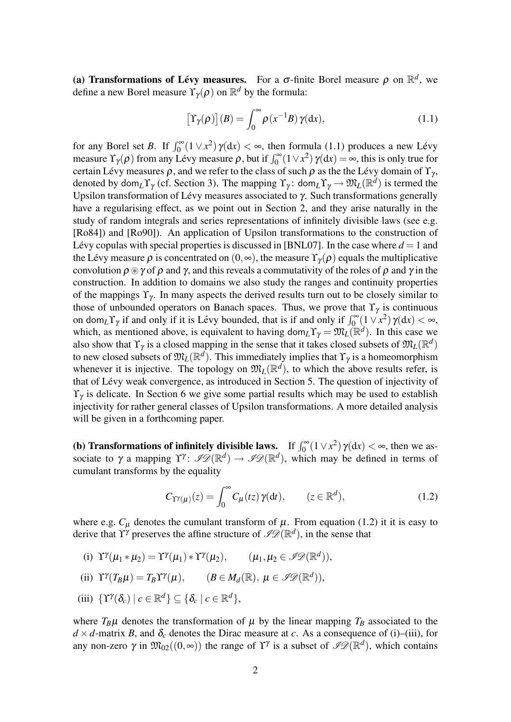(a) **Transformations of Lévy measures.** For a  $\sigma$ -finite Borel measure  $\rho$  on  $\mathbb{R}^d$ , we define a new Borel measure  $\Upsilon_{\gamma}(\rho)$  on  $\mathbb{R}^d$  by the formula:

$$
\left[\Upsilon_{\gamma}(\rho)\right](B) = \int_0^{\infty} \rho(x^{-1}B)\,\gamma(\mathrm{d}x),\tag{1.1}
$$

for any Borel set *B*. If  $\int_0^\infty (1 \vee x^2) \gamma(dx) < \infty$ , then formula (1.1) produces a new Lévy measure  $\Upsilon_{\gamma}(\rho)$  from any Lévy measure  $\rho$ , but if  $\int_0^{\infty} (1 \vee x^2) \gamma(dx) = \infty$ , this is only true for certain Lévy measures  $\rho$ , and we refer to the class of such  $\rho$  as the the Lévy domain of  $\Upsilon_{\gamma}$ , denoted by dom<sub>*L*</sub>  $\Upsilon_{\gamma}$  (cf. Section 3). The mapping  $\Upsilon_{\gamma}$ : dom<sub>*L*</sub> $\Upsilon_{\gamma} \to \mathfrak{M}_{L}(\mathbb{R}^{d})$  is termed the Upsilon transformation of Lévy measures associated to  $\gamma$ . Such transformations generally have a regularising effect, as we point out in Section 2, and they arise naturally in the study of random integrals and series representations of infinitely divisible laws (see e.g. [Ro84]) and [Ro90]). An application of Upsilon transformations to the construction of Lévy copulas with special properties is discussed in [BNL07]. In the case where  $d = 1$  and the Lévy measure  $\rho$  is concentrated on  $(0, \infty)$ , the measure  $\Upsilon_{\nu}(\rho)$  equals the multiplicative convolution  $\rho \otimes \gamma$  of  $\rho$  and  $\gamma$ , and this reveals a commutativity of the roles of  $\rho$  and  $\gamma$  in the construction. In addition to domains we also study the ranges and continuity properties of the mappings  $\Upsilon_{\gamma}$ . In many aspects the derived results turn out to be closely similar to those of unbounded operators on Banach spaces. Thus, we prove that  $\Upsilon_{\gamma}$  is continuous on dom<sub>*L*</sub> $\Upsilon_{\gamma}$  if and only if it is Lévy bounded, that is if and only if  $\int_0^{\infty} (1 \vee x^2) \gamma(dx) < \infty$ , which, as mentioned above, is equivalent to having dom<sub>*L*</sub>  $\Upsilon_{\gamma} = \mathfrak{M}_{L}(\mathbb{R}^{d})$ . In this case we also show that  $\Upsilon_{\gamma}$  is a closed mapping in the sense that it takes closed subsets of  $\mathfrak{M}_L(\mathbb{R}^d)$ to new closed subsets of  $\mathfrak{M}_L(\mathbb{R}^d)$ . This immediately implies that  $\Upsilon_\gamma$  is a homeomorphism whenever it is injective. The topology on  $\mathfrak{M}_L(\mathbb{R}^d)$ , to which the above results refer, is that of Lévy weak convergence, as introduced in Section 5. The question of injectivity of  $\Upsilon_{\gamma}$  is delicate. In Section 6 we give some partial results which may be used to establish injectivity for rather general classes of Upsilon transformations. A more detailed analysis will be given in a forthcoming paper.

(b) **Transformations of infinitely divisible laws.** If  $\int_0^\infty (1 \vee x^2) \gamma(dx) < \infty$ , then we associate to  $\gamma$  a mapping  $\Upsilon^{\gamma}$ :  $\mathscr{P}(\mathbb{R}^d) \to \mathscr{P}(\mathbb{R}^d)$ , which may be defined in terms of cumulant transforms by the equality

$$
C_{\Upsilon^{\gamma}(\mu)}(z) = \int_0^{\infty} C_{\mu}(tz) \, \gamma(dt), \qquad (z \in \mathbb{R}^d), \tag{1.2}
$$

where e.g.  $C_{\mu}$  denotes the cumulant transform of  $\mu$ . From equation (1.2) it it is easy to derive that  $\Upsilon^{\gamma}$  preserves the affine structure of  $\mathscr{I}\mathscr{D}(\mathbb{R}^d)$ , in the sense that

(i)  $\Upsilon^{\gamma}(\mu_1 * \mu_2) = \Upsilon^{\gamma}(\mu_1) * \Upsilon^{\gamma}(\mu_2), \qquad (\mu_1, \mu_2 \in \mathscr{I} \mathscr{D}(\mathbb{R}^d)),$ 

(ii) 
$$
\Upsilon^{\gamma}(T_B\mu) = T_B\Upsilon^{\gamma}(\mu)
$$
,  $(B \in M_d(\mathbb{R}), \mu \in \mathscr{PD}(\mathbb{R}^d))$ ,

(iii)  $\{ \Upsilon^{\gamma}(\delta_c) \mid c \in \mathbb{R}^d \} \subseteq \{ \delta_c \mid c \in \mathbb{R}^d \},$ 

where  $T_B\mu$  denotes the transformation of  $\mu$  by the linear mapping  $T_B$  associated to the  $d \times d$ -matrix *B*, and  $\delta_c$  denotes the Dirac measure at *c*. As a consequence of (i)–(iii), for any non-zero  $\gamma$  in  $\mathfrak{M}_{02}((0, \infty))$  the range of  $\Upsilon^{\gamma}$  is a subset of  $\mathscr{P}(\mathbb{R}^d)$ , which contains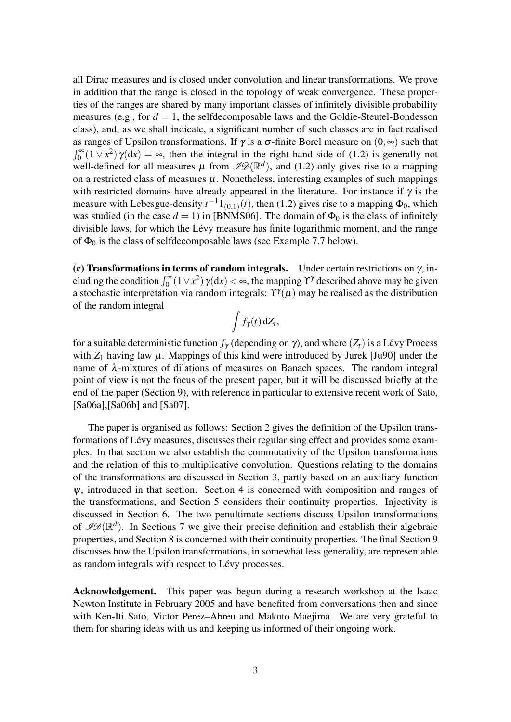all Dirac measures and is closed under convolution and linear transformations. We prove in addition that the range is closed in the topology of weak convergence. These properties of the ranges are shared by many important classes of infinitely divisible probability measures (e.g., for  $d = 1$ , the selfdecomposable laws and the Goldie-Steutel-Bondesson class), and, as we shall indicate, a significant number of such classes are in fact realised as ranges of Upsilon transformations. If  $\gamma$  is a  $\sigma$ -finite Borel measure on  $(0, \infty)$  such that  $\int_0^{\infty} (1 \vee x^2) \gamma(dx) = \infty$ , then the integral in the right hand side of (1.2) is generally not well-defined for all measures  $\mu$  from  $\mathscr{PD}(\mathbb{R}^d)$ , and (1.2) only gives rise to a mapping on a restricted class of measures  $\mu$ . Nonetheless, interesting examples of such mappings with restricted domains have already appeared in the literature. For instance if  $\gamma$  is the measure with Lebesgue-density  $t^{-1}1_{(0,1)}(t)$ , then (1.2) gives rise to a mapping  $\Phi_0$ , which was studied (in the case  $d = 1$ ) in [BNMS06]. The domain of  $\Phi_0$  is the class of infinitely divisible laws, for which the Lévy measure has finite logarithmic moment, and the range of  $\Phi_0$  is the class of selfdecomposable laws (see Example 7.7 below).

(c) Transformations in terms of random integrals. Under certain restrictions on  $\gamma$ , including the condition  $\int_0^\infty (1 \vee x^2) \gamma(dx) < \infty$ , the mapping  $\Upsilon^{\gamma}$  described above may be given a stochastic interpretation via random integrals:  $\Upsilon^{\gamma}(\mu)$  may be realised as the distribution of the random integral

$$
\int f_{\gamma}(t)\,\mathrm{d}Z_t,
$$

for a suitable deterministic function  $f_\gamma$  (depending on  $\gamma$ ), and where  $(Z_t)$  is a Lévy Process with  $Z_1$  having law  $\mu$ . Mappings of this kind were introduced by Jurek [Ju90] under the name of  $\lambda$ -mixtures of dilations of measures on Banach spaces. The random integral point of view is not the focus of the present paper, but it will be discussed briefly at the end of the paper (Section 9), with reference in particular to extensive recent work of Sato, [Sa06a],[Sa06b] and [Sa07].

The paper is organised as follows: Section 2 gives the definition of the Upsilon transformations of Lévy measures, discusses their regularising effect and provides some examples. In that section we also establish the commutativity of the Upsilon transformations and the relation of this to multiplicative convolution. Questions relating to the domains of the transformations are discussed in Section 3, partly based on an auxiliary function  $\psi$ , introduced in that section. Section 4 is concerned with composition and ranges of the transformations, and Section 5 considers their continuity properties. Injectivity is discussed in Section 6. The two penultimate sections discuss Upsilon transformations of  $\mathscr{P}(\mathbb{R}^d)$ . In Sections 7 we give their precise definition and establish their algebraic properties, and Section 8 is concerned with their continuity properties. The final Section 9 discusses how the Upsilon transformations, in somewhat less generality, are representable as random integrals with respect to Lévy processes.

Acknowledgement. This paper was begun during a research workshop at the Isaac Newton Institute in February 2005 and have benefited from conversations then and since with Ken-Iti Sato, Victor Perez–Abreu and Makoto Maejima. We are very grateful to them for sharing ideas with us and keeping us informed of their ongoing work.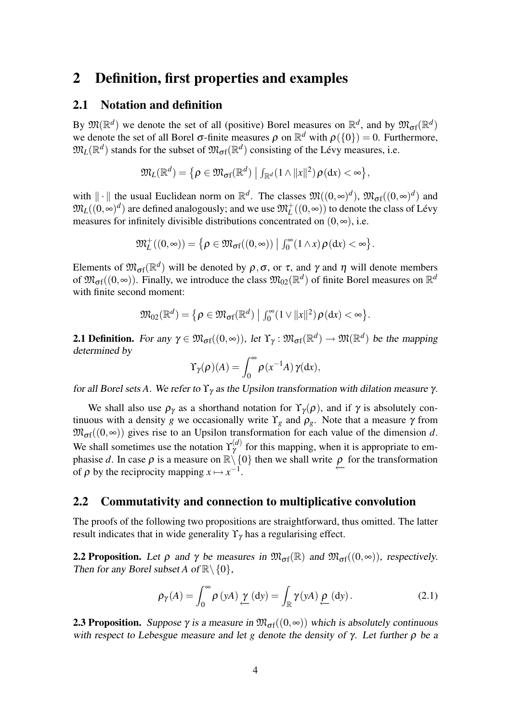### 2 Definition, first properties and examples

### 2.1 Notation and definition

By  $\mathfrak{M}(\mathbb{R}^d)$  we denote the set of all (positive) Borel measures on  $\mathbb{R}^d$ , and by  $\mathfrak{M}_{\sigma f}(\mathbb{R}^d)$ we denote the set of all Borel  $\sigma$ -finite measures  $\rho$  on  $\mathbb{R}^d$  with  $\rho({0}) = 0$ . Furthermore,  $\mathfrak{M}_L(\mathbb{R}^d)$  stands for the subset of  $\mathfrak{M}_{\sigma f}(\mathbb{R}^d)$  consisting of the Lévy measures, i.e.

$$
\mathfrak{M}_L(\mathbb{R}^d) = \left\{ \rho \in \mathfrak{M}_{\mathrm{of}}(\mathbb{R}^d) \mid \int_{\mathbb{R}^d} (1 \wedge ||x||^2) \rho(\mathrm{d}x) < \infty \right\},\
$$

with  $\|\cdot\|$  the usual Euclidean norm on  $\mathbb{R}^d$ . The classes  $\mathfrak{M}((0, \infty)^d)$ ,  $\mathfrak{M}_{\sigma f}((0, \infty)^d)$  and  $\mathfrak{M}_L((0,\infty)^d)$  are defined analogously; and we use  $\mathfrak{M}^+_L((0,\infty))$  to denote the class of Lévy measures for infinitely divisible distributions concentrated on  $(0, \infty)$ , i.e.

$$
\mathfrak{M}_{L}^{+}((0,\infty))=\big\{\rho\in \mathfrak{M}_{\sigma\mathrm{f}}((0,\infty))\ \big|\ \int_0^\infty(1\wedge x)\,\rho(\mathrm{d} x)<\infty\big\}.
$$

Elements of  $\mathfrak{M}_{\sigma f}(\mathbb{R}^d)$  will be denoted by  $\rho, \sigma$ , or  $\tau$ , and  $\gamma$  and  $\eta$  will denote members of  $\mathfrak{M}_{\sigma f}((0,\infty))$ . Finally, we introduce the class  $\mathfrak{M}_{02}(\mathbb{R}^d)$  of finite Borel measures on  $\mathbb{R}^d$ with finite second moment:

$$
\mathfrak{M}_{02}(\mathbb{R}^d) = \{ \rho \in \mathfrak{M}_{\sigma f}(\mathbb{R}^d) \mid \int_0^\infty (1 \vee ||x||^2) \rho(\mathrm{d}x) < \infty \}.
$$

**2.1 Definition.** For any  $\gamma \in \mathfrak{M}_{\sigma f}((0, \infty))$ , let  $\Upsilon_{\gamma} : \mathfrak{M}_{\sigma f}(\mathbb{R}^d) \to \mathfrak{M}(\mathbb{R}^d)$  be the mapping determined by

$$
\Upsilon_{\gamma}(\rho)(A) = \int_0^{\infty} \rho(x^{-1}A) \gamma(\mathrm{d}x),
$$

for all Borel sets *A*. We refer to  $\Upsilon_{\gamma}$  as the Upsilon transformation with dilation measure  $\gamma$ .

We shall also use  $\rho_{\gamma}$  as a shorthand notation for  $\Upsilon_{\gamma}(\rho)$ , and if  $\gamma$  is absolutely continuous with a density *g* we occasionally write  $\Upsilon_g$  and  $\rho_g$ . Note that a measure  $\gamma$  from  $\mathfrak{M}_{\sigma f}((0, \infty))$  gives rise to an Upsilon transformation for each value of the dimension *d*. We shall sometimes use the notation  $\Upsilon_{\gamma}^{(d)}$  $\gamma^{(a)}$  for this mapping, when it is appropriate to emphasise *d*. In case  $\rho$  is a measure on  $\mathbb{R}\setminus\{0\}$  then we shall write  $\rho$  for the transformation of  $\rho$  by the reciprocity mapping  $x \mapsto x^{-1}$ of  $\rho$  by the reciprocity mapping  $x \mapsto x^{-1}$ .

### 2.2 Commutativity and connection to multiplicative convolution

The proofs of the following two propositions are straightforward, thus omitted. The latter result indicates that in wide generality  $\Upsilon_{\gamma}$  has a regularising effect.

**2.2 Proposition.** Let  $\rho$  and  $\gamma$  be measures in  $\mathfrak{M}_{\sigma f}(\mathbb{R})$  and  $\mathfrak{M}_{\sigma f}((0, \infty))$ , respectively. Then for any Borel subset *A* of  $\mathbb{R}\setminus\{0\}$ ,

$$
\rho_{\gamma}(A) = \int_0^{\infty} \rho(yA) \underbrace{\gamma}_{\leftarrow}(dy) = \int_{\mathbb{R}} \gamma(yA) \underbrace{\rho}_{\leftarrow}(dy).
$$
 (2.1)

**2.3 Proposition.** Suppose  $\gamma$  is a measure in  $\mathfrak{M}_{\sigma}(\mathfrak{O},\infty)$  which is absolutely continuous with respect to Lebesgue measure and let *g* denote the density of  $\gamma$ . Let further  $\rho$  be a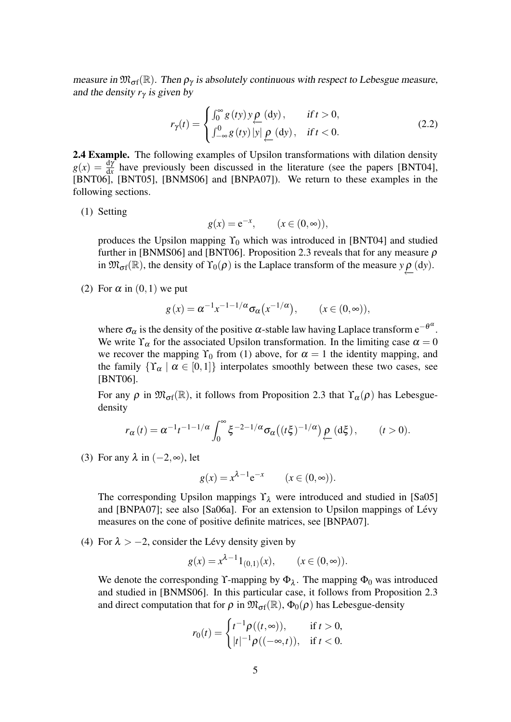measure in  $\mathfrak{M}_{\sigma f}(\mathbb{R})$ . Then  $\rho_{\gamma}$  is absolutely continuous with respect to Lebesgue measure, and the density  $r<sub>y</sub>$  is given by

$$
r_{\gamma}(t) = \begin{cases} \int_0^{\infty} g(ty) y \underline{\rho} \text{ (dy)}, & \text{if } t > 0, \\ \int_{-\infty}^0 g(ty) |y| \underline{\rho} \text{ (dy)}, & \text{if } t < 0. \end{cases}
$$
 (2.2)

2.4 Example. The following examples of Upsilon transformations with dilation density  $g(x) = \frac{dy}{dx}$  have previously been discussed in the literature (see the papers [BNT04], [BNT06], [BNT05], [BNMS06] and [BNPA07]). We return to these examples in the following sections.

(1) Setting

$$
g(x) = e^{-x}, \qquad (x \in (0, \infty)),
$$

produces the Upsilon mapping  $\Upsilon_0$  which was introduced in [BNT04] and studied further in [BNMS06] and [BNT06]. Proposition 2.3 reveals that for any measure  $\rho$ in  $\mathfrak{M}_{\sigma f}(\mathbb{R})$ , the density of  $\Upsilon_0(\rho)$  is the Laplace transform of the measure  $y \rho(\mathrm{d}y)$ .

(2) For  $\alpha$  in  $(0,1)$  we put

$$
g(x) = \alpha^{-1} x^{-1-1/\alpha} \sigma_{\alpha}(x^{-1/\alpha}), \qquad (x \in (0, \infty)),
$$

where  $\sigma_{\alpha}$  is the density of the positive  $\alpha$ -stable law having Laplace transform  $e^{-\theta^{\alpha}}$ . We write  $\Upsilon_{\alpha}$  for the associated Upsilon transformation. In the limiting case  $\alpha = 0$ we recover the mapping  $\Upsilon_0$  from (1) above, for  $\alpha = 1$  the identity mapping, and the family  $\{\Upsilon_{\alpha} \mid \alpha \in [0,1]\}$  interpolates smoothly between these two cases, see [BNT06].

For any  $\rho$  in  $\mathfrak{M}_{\sigma}(\mathbb{R})$ , it follows from Proposition 2.3 that  $\Upsilon_{\alpha}(\rho)$  has Lebesguedensity

$$
r_{\alpha}(t) = \alpha^{-1} t^{-1-1/\alpha} \int_0^{\infty} \xi^{-2-1/\alpha} \sigma_{\alpha}((t\xi)^{-1/\alpha}) \underbrace{\rho}_{\leftarrow}(\mathrm{d}\xi), \qquad (t > 0).
$$

(3) For any  $\lambda$  in  $(-2, \infty)$ , let

$$
g(x) = x^{\lambda - 1} e^{-x} \qquad (x \in (0, \infty)).
$$

The corresponding Upsilon mappings  $\Upsilon_{\lambda}$  were introduced and studied in [Sa05] and [BNPA07]; see also [Sa06a]. For an extension to Upsilon mappings of Lévy measures on the cone of positive definite matrices, see [BNPA07].

(4) For  $\lambda > -2$ , consider the Lévy density given by

$$
g(x) = x^{\lambda - 1} 1_{(0,1)}(x), \qquad (x \in (0, \infty)).
$$

We denote the corresponding Y-mapping by  $\Phi_{\lambda}$ . The mapping  $\Phi_0$  was introduced and studied in [BNMS06]. In this particular case, it follows from Proposition 2.3 and direct computation that for  $\rho$  in  $\mathfrak{M}_{\sigma f}(\mathbb{R}), \Phi_0(\rho)$  has Lebesgue-density

$$
r_0(t) = \begin{cases} t^{-1} \rho((t, \infty)), & \text{if } t > 0, \\ |t|^{-1} \rho((-\infty, t)), & \text{if } t < 0. \end{cases}
$$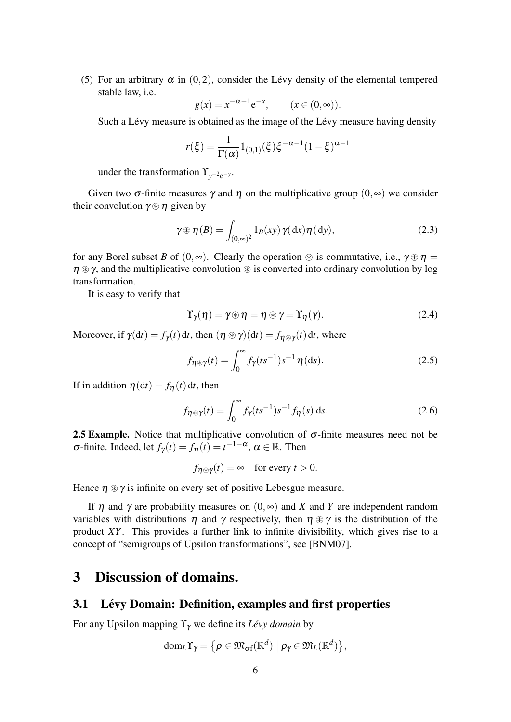(5) For an arbitrary  $\alpha$  in (0,2), consider the Lévy density of the elemental tempered stable law, i.e.

$$
g(x) = x^{-\alpha - 1} e^{-x}, \qquad (x \in (0, \infty)).
$$

Such a Lévy measure is obtained as the image of the Lévy measure having density

$$
r(\xi) = \frac{1}{\Gamma(\alpha)} 1_{(0,1)}(\xi) \xi^{-\alpha - 1} (1 - \xi)^{\alpha - 1}
$$

under the transformation  $\Upsilon_{y^{-2}e^{-y}}$ .

Given two  $\sigma$ -finite measures  $\gamma$  and  $\eta$  on the multiplicative group  $(0, \infty)$  we consider their convolution  $\gamma \otimes \eta$  given by

$$
\gamma \circledast \eta(B) = \int_{(0,\infty)^2} 1_B(xy) \, \gamma(dx) \eta(dy), \tag{2.3}
$$

for any Borel subset *B* of  $(0, \infty)$ . Clearly the operation  $\circledast$  is commutative, i.e.,  $\gamma \circledast \eta =$  $\eta \otimes \gamma$ , and the multiplicative convolution  $\otimes$  is converted into ordinary convolution by log transformation.

It is easy to verify that

$$
\Upsilon_{\gamma}(\eta) = \gamma \circledast \eta = \eta \circledast \gamma = \Upsilon_{\eta}(\gamma). \tag{2.4}
$$

Moreover, if  $\gamma(\mathrm{d}t) = f_{\gamma}(t) \, \mathrm{d}t$ , then  $(\eta \otimes \gamma)(\mathrm{d}t) = f_{\eta \otimes \gamma}(t) \, \mathrm{d}t$ , where

$$
f_{\eta \circledast \gamma}(t) = \int_0^\infty f_\gamma(ts^{-1}) s^{-1} \eta(ds). \tag{2.5}
$$

If in addition  $\eta(dt) = f_{\eta}(t) dt$ , then

$$
f_{\eta \circledast \gamma}(t) = \int_0^\infty f_\gamma(ts^{-1}) s^{-1} f_\eta(s) \, \mathrm{d}s. \tag{2.6}
$$

**2.5 Example.** Notice that multiplicative convolution of  $\sigma$ -finite measures need not be  $\sigma$ -finite. Indeed, let  $f_\gamma(t) = f_\eta(t) = t^{-1-\alpha}, \alpha \in \mathbb{R}$ . Then

$$
f_{\eta \circledast \gamma}(t) = \infty
$$
 for every  $t > 0$ .

Hence  $\eta \otimes \gamma$  is infinite on every set of positive Lebesgue measure.

If η and γ are probability measures on (0,∞) and *X* and *Y* are independent random variables with distributions  $\eta$  and  $\gamma$  respectively, then  $\eta \otimes \gamma$  is the distribution of the product *XY*. This provides a further link to infinite divisibility, which gives rise to a concept of "semigroups of Upsilon transformations", see [BNM07].

### 3 Discussion of domains.

### 3.1 Lévy Domain: Definition, examples and first properties

For any Upsilon mapping ϒγ we define its *Levy domain ´* by

$$
\mathrm{dom}_L \Upsilon_\gamma = \big\{\rho \in \mathfrak{M}_{\sigma f}(\mathbb{R}^d) \bigm| \rho_\gamma \in \mathfrak{M}_L(\mathbb{R}^d) \big\},\
$$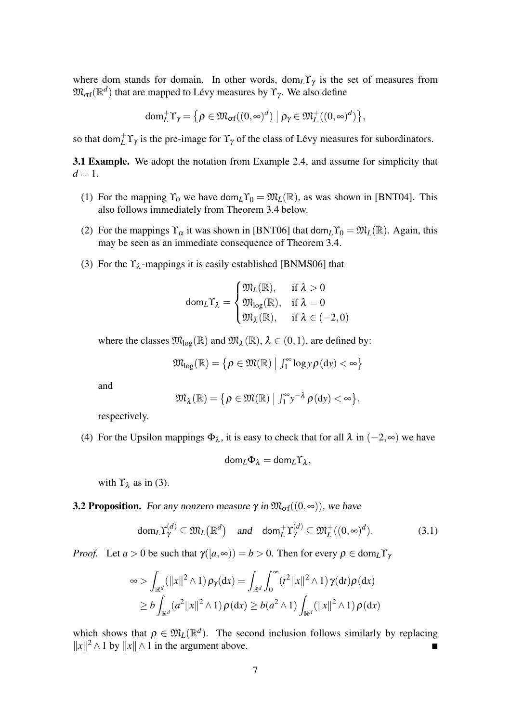where dom stands for domain. In other words,  $dom<sub>L</sub>Y<sub>\gamma</sub>$  is the set of measures from  $\mathfrak{M}_{\sigma \mathrm{f}}(\mathbb{R}^d)$  that are mapped to Lévy measures by  $\Upsilon_{\gamma}$ . We also define

$$
\text{dom}_{L}^{+}\Upsilon_{\gamma} = \{ \rho \in \mathfrak{M}_{\text{of}}((0,\infty)^{d}) \mid \rho_{\gamma} \in \mathfrak{M}_{L}^{+}((0,\infty)^{d}) \},
$$

so that dom ${}^+_L \Upsilon_\gamma$  is the pre-image for  $\Upsilon_\gamma$  of the class of Lévy measures for subordinators.

3.1 Example. We adopt the notation from Example 2.4, and assume for simplicity that  $d=1$ .

- (1) For the mapping  $\Upsilon_0$  we have dom<sub>L</sub> $\Upsilon_0 = \mathfrak{M}_L(\mathbb{R})$ , as was shown in [BNT04]. This also follows immediately from Theorem 3.4 below.
- (2) For the mappings  $\Upsilon_{\alpha}$  it was shown in [BNT06] that dom<sub>L</sub> $\Upsilon_0 = \mathfrak{M}_L(\mathbb{R})$ . Again, this may be seen as an immediate consequence of Theorem 3.4.
- (3) For the  $\Upsilon_{\lambda}$ -mappings it is easily established [BNMS06] that

$$
\text{dom}_\mathcal{L} \Upsilon_\lambda = \begin{cases} \mathfrak{M}_\mathcal{L}(\mathbb{R}), & \text{if } \lambda > 0 \\ \mathfrak{M}_{\log}(\mathbb{R}), & \text{if } \lambda = 0 \\ \mathfrak{M}_\lambda(\mathbb{R}), & \text{if } \lambda \in (-2,0) \end{cases}
$$

where the classes  $\mathfrak{M}_{\log}(\mathbb{R})$  and  $\mathfrak{M}_{\lambda}(\mathbb{R})$ ,  $\lambda \in (0,1)$ , are defined by:

$$
\mathfrak{M}_{\log}(\mathbb{R}) = \left\{ \rho \in \mathfrak{M}(\mathbb{R}) \; \middle| \; \textstyle \int_1^\infty \log y \, \rho \textstyle{\left(\mathrm{d}y\right)} < \infty \right\}
$$

and

$$
\mathfrak{M}_{\lambda}(\mathbb{R})=\big\{\rho\in\mathfrak{M}(\mathbb{R})\ \big|\ \textstyle\int_1^\infty\textstyle y^{-\lambda}\,\rho(\textstyle{\mathrm{d}} y)<\infty\big\},
$$

respectively.

(4) For the Upsilon mappings  $\Phi_{\lambda}$ , it is easy to check that for all  $\lambda$  in  $(-2, \infty)$  we have

$$
\mathsf{dom}_L \Phi_\lambda = \mathsf{dom}_L \Upsilon_\lambda,
$$

with  $\Upsilon_{\lambda}$  as in (3).

**3.2 Proposition.** For any nonzero measure 
$$
\gamma
$$
 in  $\mathfrak{M}_{\sigma f}((0, \infty))$ , we have

$$
\text{dom}_L \Upsilon^{(d)}_\gamma \subseteq \mathfrak{M}_L(\mathbb{R}^d) \quad \text{and} \quad \text{dom}_L^+ \Upsilon^{(d)}_\gamma \subseteq \mathfrak{M}_L^+((0,\infty)^d). \tag{3.1}
$$

*Proof.* Let  $a > 0$  be such that  $\gamma([a, \infty)) = b > 0$ . Then for every  $\rho \in \text{dom}_L \Upsilon_\gamma$ 

$$
\infty > \int_{\mathbb{R}^d} (\|x\|^2 \wedge 1) \rho_{\gamma}(\mathrm{d}x) = \int_{\mathbb{R}^d} \int_0^{\infty} (t^2 \|x\|^2 \wedge 1) \gamma(\mathrm{d}t) \rho(\mathrm{d}x)
$$
  
\n
$$
\geq b \int_{\mathbb{R}^d} (a^2 \|x\|^2 \wedge 1) \rho(\mathrm{d}x) \geq b(a^2 \wedge 1) \int_{\mathbb{R}^d} (\|x\|^2 \wedge 1) \rho(\mathrm{d}x)
$$

which shows that  $\rho \in \mathfrak{M}_L(\mathbb{R}^d)$ . The second inclusion follows similarly by replacing  $||x||^2 \wedge 1$  by  $||x|| \wedge 1$  in the argument above. ■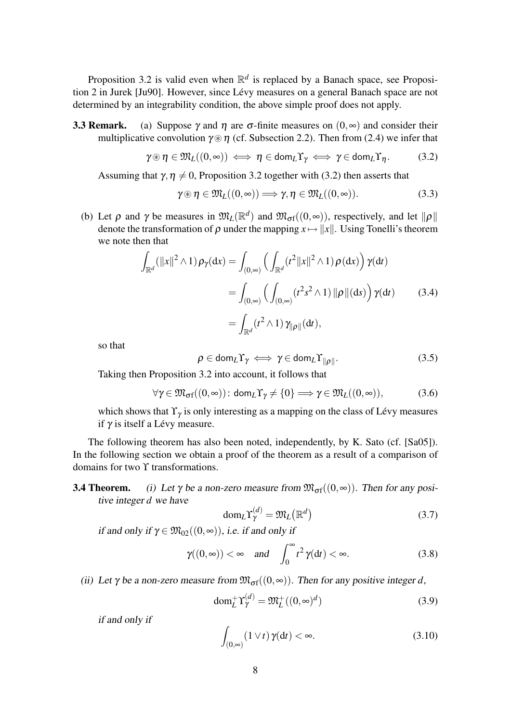Proposition 3.2 is valid even when  $\mathbb{R}^d$  is replaced by a Banach space, see Proposition 2 in Jurek [Ju90]. However, since Lévy measures on a general Banach space are not determined by an integrability condition, the above simple proof does not apply.

**3.3 Remark.** (a) Suppose  $\gamma$  and  $\eta$  are  $\sigma$ -finite measures on  $(0, \infty)$  and consider their multiplicative convolution  $\gamma \otimes \eta$  (cf. Subsection 2.2). Then from (2.4) we infer that

$$
\gamma \circledast \eta \in \mathfrak{M}_L((0,\infty)) \iff \eta \in \text{dom}_L \Upsilon_\gamma \iff \gamma \in \text{dom}_L \Upsilon_\eta. \tag{3.2}
$$

Assuming that  $\gamma, \eta \neq 0$ , Proposition 3.2 together with (3.2) then asserts that

$$
\gamma \circledast \eta \in \mathfrak{M}_L((0,\infty)) \Longrightarrow \gamma, \eta \in \mathfrak{M}_L((0,\infty)). \tag{3.3}
$$

(b) Let  $\rho$  and  $\gamma$  be measures in  $\mathfrak{M}_L(\mathbb{R}^d)$  and  $\mathfrak{M}_{\sigma f}((0,\infty))$ , respectively, and let  $\|\rho\|$ denote the transformation of  $\rho$  under the mapping  $x \mapsto ||x||$ . Using Tonelli's theorem we note then that

$$
\int_{\mathbb{R}^d} (\|x\|^2 \wedge 1) \rho_{\gamma}(\mathrm{d}x) = \int_{(0,\infty)} \left( \int_{\mathbb{R}^d} (t^2 \|x\|^2 \wedge 1) \rho(\mathrm{d}x) \right) \gamma(\mathrm{d}t)
$$

$$
= \int_{(0,\infty)} \left( \int_{(0,\infty)} (t^2 s^2 \wedge 1) \|\rho\|( \mathrm{d}s) \right) \gamma(\mathrm{d}t) \qquad (3.4)
$$

$$
= \int_{\mathbb{R}^d} (t^2 \wedge 1) \gamma_{\|\rho\|}(\mathrm{d}t),
$$

so that

$$
\rho \in \text{dom}_{L} \Upsilon_{\gamma} \iff \gamma \in \text{dom}_{L} \Upsilon_{\|\rho\|}. \tag{3.5}
$$

Taking then Proposition 3.2 into account, it follows that

$$
\forall \gamma \in \mathfrak{M}_{\sigma f}((0,\infty)) : \text{dom}_{L} \Upsilon_{\gamma} \neq \{0\} \Longrightarrow \gamma \in \mathfrak{M}_{L}((0,\infty)), \tag{3.6}
$$

which shows that  $\Upsilon_{\gamma}$  is only interesting as a mapping on the class of Lévy measures if  $\gamma$  is itself a Lévy measure.

The following theorem has also been noted, independently, by K. Sato (cf. [Sa05]). In the following section we obtain a proof of the theorem as a result of a comparison of domains for two ϒ transformations.

**3.4 Theorem.** (i) Let  $\gamma$  be a non-zero measure from  $\mathfrak{M}_{\sigma}(\mathfrak{g}(0,\infty))$ . Then for any positive integer *d* we have

$$
\text{dom}_L \Upsilon^{(d)}_{\gamma} = \mathfrak{M}_L(\mathbb{R}^d)
$$
 (3.7)

if and only if  $\gamma \in \mathfrak{M}_{02}((0,\infty))$ , i.e. if and only if

$$
\gamma((0,\infty)) < \infty \quad \text{and} \quad \int_0^\infty t^2 \gamma(dt) < \infty.
$$
\n(3.8)

(ii) Let  $\gamma$  be a non-zero measure from  $\mathfrak{M}_{\sigma}(\mathfrak{g}(0,\infty))$ . Then for any positive integer *d*,

$$
\text{dom}_{L}^{+} \Upsilon_{\gamma}^{(d)} = \mathfrak{M}_{L}^{+}((0, \infty)^{d})
$$
\n(3.9)

if and only if

$$
\int_{(0,\infty)} (1 \vee t) \gamma(dt) < \infty. \tag{3.10}
$$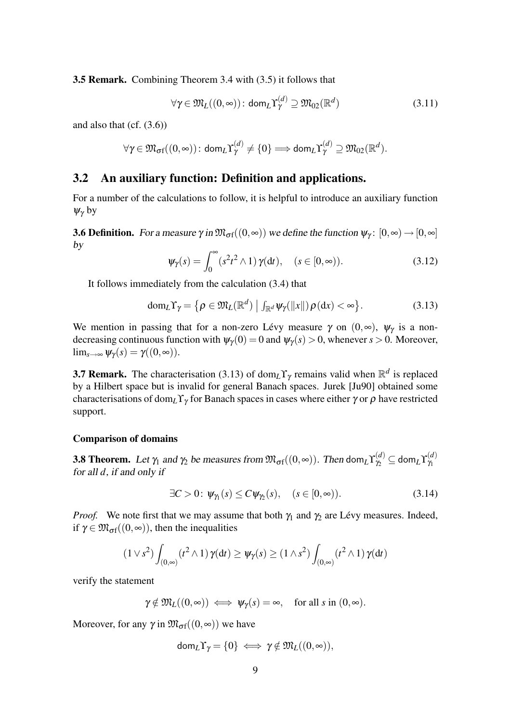3.5 Remark. Combining Theorem 3.4 with (3.5) it follows that

$$
\forall \gamma \in \mathfrak{M}_L((0,\infty)) : \text{dom}_L \Upsilon^{(d)}_{\gamma} \supseteq \mathfrak{M}_{02}(\mathbb{R}^d)
$$
(3.11)

and also that  $(cf. (3.6))$ 

$$
\forall \gamma \in \mathfrak{M}_{\sigma f}((0,\infty)) : \text{dom}_{L}\Upsilon_{\gamma}^{(d)} \neq \{0\} \Longrightarrow \text{dom}_{L}\Upsilon_{\gamma}^{(d)} \supseteq \mathfrak{M}_{02}(\mathbb{R}^{d}).
$$

### 3.2 An auxiliary function: Definition and applications.

For a number of the calculations to follow, it is helpful to introduce an auxiliary function  $\psi_{\gamma}$  by

**3.6 Definition.** For a measure  $\gamma$  in  $\mathfrak{M}_{\sigma}(\mathfrak{g}(0,\infty))$  we define the function  $\psi_{\gamma}$ :  $[0,\infty) \to [0,\infty]$ by

$$
\Psi_{\gamma}(s) = \int_0^{\infty} (s^2 t^2 \wedge 1) \gamma(dt), \quad (s \in [0, \infty)).
$$
 (3.12)

It follows immediately from the calculation (3.4) that

$$
\text{dom}_L \Upsilon_{\gamma} = \left\{ \rho \in \mathfrak{M}_L(\mathbb{R}^d) \; \middle| \; \int_{\mathbb{R}^d} \psi_{\gamma}(\|x\|) \rho(\mathrm{d}x) < \infty \right\}. \tag{3.13}
$$

We mention in passing that for a non-zero Lévy measure  $\gamma$  on  $(0, \infty)$ ,  $\psi_{\gamma}$  is a nondecreasing continuous function with  $\psi_{\gamma}(0) = 0$  and  $\psi_{\gamma}(s) > 0$ , whenever  $s > 0$ . Moreover,  $\lim_{s\to\infty}\psi_{\gamma}(s)=\gamma((0,\infty)).$ 

**3.7 Remark.** The characterisation (3.13) of dom<sub>L</sub>Y<sub>γ</sub> remains valid when  $\mathbb{R}^d$  is replaced by a Hilbert space but is invalid for general Banach spaces. Jurek [Ju90] obtained some characterisations of dom<sub>L</sub>Y<sub>γ</sub> for Banach spaces in cases where either  $\gamma$  or  $\rho$  have restricted support.

#### Comparison of domains

**3.8 Theorem.** Let  $\gamma_1$  and  $\gamma_2$  be measures from  $\mathfrak{M}_{\sigma f}((0, \infty))$ . Then dom $_L\Upsilon_{\gamma_2}^{(d)} \subseteq$  dom $_L\Upsilon_{\gamma_1}^{(d)}$  $\gamma_1$ for all *d*, if and only if

$$
\exists C > 0 \colon \psi_{\gamma_1}(s) \le C \psi_{\gamma_2}(s), \quad (s \in [0, \infty)). \tag{3.14}
$$

*Proof.* We note first that we may assume that both  $\gamma_1$  and  $\gamma_2$  are Lévy measures. Indeed, if  $\gamma \in \mathfrak{M}_{\sigma f}((0,\infty))$ , then the inequalities

$$
(1 \vee s^2) \int_{(0,\infty)} (t^2 \wedge 1) \gamma(dt) \ge \psi_\gamma(s) \ge (1 \wedge s^2) \int_{(0,\infty)} (t^2 \wedge 1) \gamma(dt)
$$

verify the statement

$$
\gamma \notin \mathfrak{M}_L((0,\infty)) \iff \psi_{\gamma}(s) = \infty
$$
, for all  $s$  in  $(0,\infty)$ .

Moreover, for any  $\gamma$  in  $\mathfrak{M}_{\sigma}(\mathfrak{g}(0,\infty))$  we have

$$
\text{dom}_L\Upsilon_\gamma=\{0\}\iff \gamma\notin\mathfrak{M}_L((0,\infty)),
$$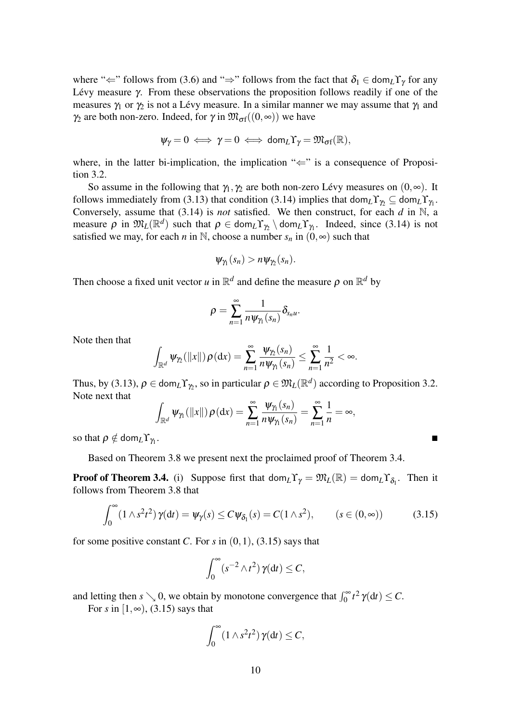where " $\Leftarrow$ " follows from (3.6) and " $\Rightarrow$ " follows from the fact that  $\delta_1 \in \text{dom}_L\Upsilon_\gamma$  for any Lévy measure  $\gamma$ . From these observations the proposition follows readily if one of the measures  $\gamma_1$  or  $\gamma_2$  is not a Lévy measure. In a similar manner we may assume that  $\gamma_1$  and  $\gamma_2$  are both non-zero. Indeed, for  $\gamma$  in  $\mathfrak{M}_{\sigma f}((0, \infty))$  we have

$$
\psi_\gamma=0\iff \gamma=0\iff \text{dom}_L\Upsilon_\gamma=\mathfrak{M}_{\sigma f}(\mathbb{R}),
$$

where, in the latter bi-implication, the implication " $\Leftarrow$ " is a consequence of Proposition 3.2.

So assume in the following that  $\gamma_1, \gamma_2$  are both non-zero Lévy measures on  $(0, \infty)$ . It follows immediately from (3.13) that condition (3.14) implies that  $\text{dom}_L \Upsilon_{\gamma_2} \subseteq \text{dom}_L \Upsilon_{\gamma_1}$ . Conversely, assume that (3.14) is *not* satisfied. We then construct, for each *d* in N, a measure  $\rho$  in  $\mathfrak{M}_L(\mathbb{R}^d)$  such that  $\rho \in \text{dom}_L \Upsilon_{\gamma_2} \setminus \text{dom}_L \Upsilon_{\gamma_1}$ . Indeed, since (3.14) is not satisfied we may, for each *n* in N, choose a number  $s_n$  in  $(0, \infty)$  such that

$$
\psi_{\gamma_1}(s_n) > n \psi_{\gamma_2}(s_n).
$$

Then choose a fixed unit vector *u* in  $\mathbb{R}^d$  and define the measure  $\rho$  on  $\mathbb{R}^d$  by

$$
\rho=\sum_{n=1}^\infty \frac{1}{n\psi_{\gamma_1}(s_n)}\delta_{s_n\mu}.
$$

Note then that

$$
\int_{\mathbb{R}^d} \psi_{\gamma_2}(\|x\|) \rho(\mathrm{d}x) = \sum_{n=1}^{\infty} \frac{\psi_{\gamma_2}(s_n)}{n \psi_{\gamma_1}(s_n)} \leq \sum_{n=1}^{\infty} \frac{1}{n^2} < \infty.
$$

Thus, by (3.13),  $\rho \in \text{dom}_L \Upsilon_{\gamma_2}$ , so in particular  $\rho \in \mathfrak{M}_L(\mathbb{R}^d)$  according to Proposition 3.2. Note next that

$$
\int_{\mathbb{R}^d} \psi_{\gamma_1}(\|x\|) \rho(\mathrm{d}x) = \sum_{n=1}^{\infty} \frac{\psi_{\gamma_1}(s_n)}{n \psi_{\gamma_1}(s_n)} = \sum_{n=1}^{\infty} \frac{1}{n} = \infty,
$$

so that  $\rho \notin \text{dom}_L \Upsilon_{\gamma_1}$ . . A construction of the construction of the construction of the construction of the construction of

Based on Theorem 3.8 we present next the proclaimed proof of Theorem 3.4.

**Proof of Theorem 3.4.** (i) Suppose first that  $\text{dom}_L Y_\gamma = \mathfrak{M}_L(\mathbb{R}) = \text{dom}_L Y_{\delta_1}$ . Then it follows from Theorem 3.8 that

$$
\int_0^\infty (1 \wedge s^2 t^2) \gamma(dt) = \psi_\gamma(s) \le C \psi_{\delta_1}(s) = C(1 \wedge s^2), \qquad (s \in (0, \infty)) \tag{3.15}
$$

for some positive constant *C*. For *s* in  $(0,1)$ ,  $(3.15)$  says that

$$
\int_0^\infty (s^{-2}\wedge t^2)\,\gamma(\mathrm{d} t)\leq C,
$$

and letting then  $s \searrow 0$ , we obtain by monotone convergence that  $\int_0^\infty t^2 \gamma(dt) \le C$ .

For *s* in  $[1, \infty)$ , (3.15) says that

$$
\int_0^\infty (1 \wedge s^2 t^2) \, \gamma(dt) \leq C,
$$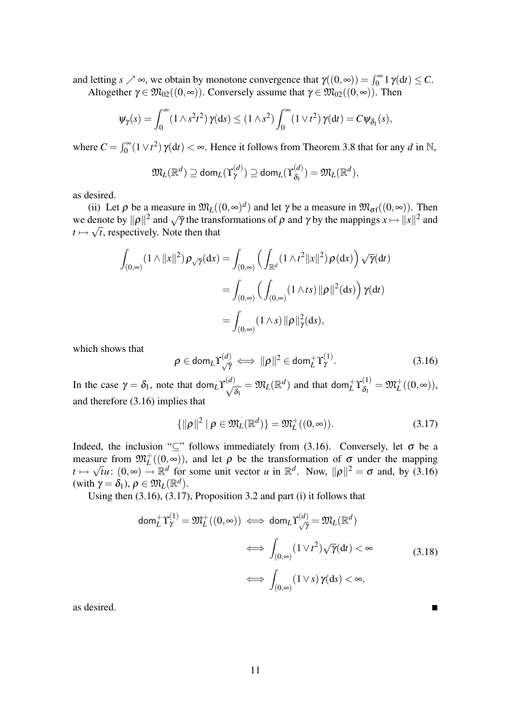and letting  $s \nearrow \infty$ , we obtain by monotone convergence that  $\gamma((0,\infty)) = \int_0^\infty 1 \gamma(\mathrm{d}t) \leq C$ . Altogether  $\gamma \in \mathfrak{M}_{02}((0,\infty))$ . Conversely assume that  $\gamma \in \mathfrak{M}_{02}((0,\infty))$ . Then

$$
\psi_{\gamma}(s) = \int_0^{\infty} (1 \wedge s^2 t^2) \gamma(ds) \le (1 \wedge s^2) \int_0^{\infty} (1 \vee t^2) \gamma(dt) = C \psi_{\delta_1}(s),
$$

where  $C = \int_0^\infty (1 \vee t^2) \gamma(dt) < \infty$ . Hence it follows from Theorem 3.8 that for any *d* in N,

 $\boldsymbol{0}$ 

$$
\mathfrak{M}_L(\mathbb{R}^d) \supseteq \text{dom}_L(\Upsilon^{(d)}_{\gamma}) \supseteq \text{dom}_L(\Upsilon^{(d)}_{\delta_1}) = \mathfrak{M}_L(\mathbb{R}^d),
$$

as desired.

0

(ii) Let  $\rho$  be a measure in  $\mathfrak{M}_L((0, \infty)^d)$  and let  $\gamma$  be a measure in  $\mathfrak{M}_{\sigma f}((0, \infty))$ . Then we denote by  $\|\rho\|^2$  and  $\sqrt{\gamma}$  the transformations of  $\rho$  and  $\gamma$  by the mappings  $x \mapsto \|x\|^2$  and  $t \mapsto \sqrt{t}$ , respectively. Note then that

$$
\int_{(0,\infty)} (1 \wedge ||x||^2) \rho_{\sqrt{\gamma}}(dx) = \int_{(0,\infty)} \left( \int_{\mathbb{R}^d} (1 \wedge t^2 ||x||^2) \rho(dx) \right) \sqrt{\gamma}(dt)
$$

$$
= \int_{(0,\infty)} \left( \int_{(0,\infty)} (1 \wedge ts) ||\rho||^2(ds) \right) \gamma(dt)
$$

$$
= \int_{(0,\infty)} (1 \wedge s) ||\rho||^2_{\gamma}(ds),
$$

which shows that

$$
\rho \in \text{dom}_L \Upsilon_{\sqrt{\gamma}}^{(d)} \iff \|\rho\|^2 \in \text{dom}_L^+ \Upsilon_{\gamma}^{(1)}.
$$
 (3.16)

In the case  $\gamma = \delta_1$ , note that dom<sub>*L*</sub> $\Upsilon^{(d)}_f$  $\frac{\partial}{\partial \lambda_i} = \mathfrak{M}_L(\mathbb{R}^d)$  and that dom $\frac{1}{L} \Upsilon_{\delta_1}^{(1)}$  $\mathfrak{F}^{(1)}_{\delta_1}=\mathfrak{M}_{L}^{+}((0,\infty)),$ and therefore (3.16) implies that

$$
\{\|\rho\|^2 \mid \rho \in \mathfrak{M}_L(\mathbb{R}^d)\} = \mathfrak{M}_L^+((0,\infty)).\tag{3.17}
$$

Indeed, the inclusion "⊆" follows immediately from (3.16). Conversely, let  $\sigma$  be a measure from  $\mathfrak{M}_{L}^+((0,\infty))$ , and let  $\rho$  be the transformation of  $\sigma$  under the mapping  $t \mapsto$ √  $\tilde{t}u: (0,\infty) \to \mathbb{R}^d$  for some unit vector *u* in  $\mathbb{R}^d$ . Now,  $\|\rho\|^2 = \sigma$  and, by (3.16) (with  $\gamma = \delta_1$ ),  $\rho \in \mathfrak{M}_L(\mathbb{R}^d)$ .

Using then (3.16), (3.17), Proposition 3.2 and part (i) it follows that

$$
\text{dom}_{L}^{+} \Upsilon_{\gamma}^{(1)} = \mathfrak{M}_{L}^{+}((0, \infty)) \iff \text{dom}_{L} \Upsilon_{\sqrt{\gamma}}^{(d)} = \mathfrak{M}_{L}(\mathbb{R}^{d})
$$

$$
\iff \int_{(0, \infty)} (1 \vee t^{2}) \sqrt{\gamma}(\text{d}t) < \infty \tag{3.18}
$$

$$
\iff \int_{(0, \infty)} (1 \vee s) \gamma(\text{d}s) < \infty,
$$

as desired.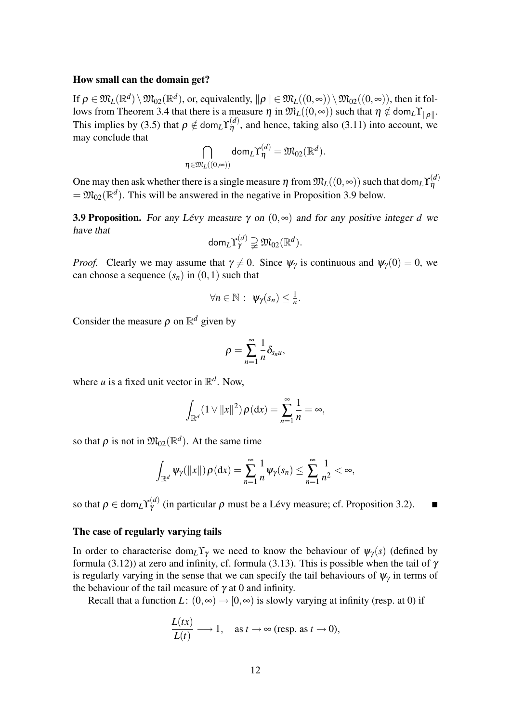#### How small can the domain get?

If  $\rho\in\mathfrak{M}_{L}(\mathbb{R}^{d})\setminus\mathfrak{M}_{02}(\mathbb{R}^{d}),$  or, equivalently,  $\Vert\rho\Vert\in\mathfrak{M}_{L}((0,\infty))\setminus\mathfrak{M}_{02}((0,\infty)),$  then it follows from Theorem 3.4 that there is a measure  $\eta$  in  $\mathfrak{M}_L((0, \infty))$  such that  $\eta \notin \text{dom}_L Y_{\|\rho\|}$ . This implies by (3.5) that  $\rho \notin \text{dom}_L \Upsilon_{\eta}^{(d)}$ , and hence, taking also (3.11) into account, we may conclude that

$$
\bigcap_{\boldsymbol \eta\in\mathfrak M_L((0,\infty))}\mathsf{dom}_L\Upsilon^{(d)}_{\boldsymbol \eta}=\mathfrak M_{02}(\mathbb R^d).
$$

One may then ask whether there is a single measure  $\eta$  from  $\mathfrak{M}_L((0, \infty))$  such that dom $_L\Upsilon^{(d)}_{\eta}$  $= \mathfrak{M}_{02}(\mathbb{R}^d)$ . This will be answered in the negative in Proposition 3.9 below.

**3.9 Proposition.** For any Lévy measure  $\gamma$  on  $(0, \infty)$  and for any positive integer *d* we have that

$$
\text{dom}_L\Upsilon^{(d)}_\gamma\supsetneqq \mathfrak{M}_{02}(\mathbb{R}^d).
$$

*Proof.* Clearly we may assume that  $\gamma \neq 0$ . Since  $\psi_{\gamma}$  is continuous and  $\psi_{\gamma}(0) = 0$ , we can choose a sequence  $(s_n)$  in  $(0,1)$  such that

$$
\forall n \in \mathbb{N} : \psi_{\gamma}(s_n) \leq \frac{1}{n}.
$$

Consider the measure  $\rho$  on  $\mathbb{R}^d$  given by

$$
\rho=\sum_{n=1}^\infty\frac{1}{n}\delta_{s_nu},
$$

where *u* is a fixed unit vector in  $\mathbb{R}^d$ . Now,

$$
\int_{\mathbb{R}^d} (1 \vee ||x||^2) \, \rho(\mathrm{d}x) = \sum_{n=1}^\infty \frac{1}{n} = \infty,
$$

so that  $\rho$  is not in  $\mathfrak{M}_{02}(\mathbb{R}^d)$ . At the same time

$$
\int_{\mathbb{R}^d} \psi_\gamma(\|x\|) \rho(\mathrm{d}x) = \sum_{n=1}^\infty \frac{1}{n} \psi_\gamma(s_n) \leq \sum_{n=1}^\infty \frac{1}{n^2} < \infty,
$$

so that  $\rho \in \text{\rm dom}_L\Upsilon_{\gamma}^{(d)}$  $\gamma^{(a)}$  (in particular  $\rho$  must be a Lévy measure; cf. Proposition 3.2).

#### The case of regularly varying tails

In order to characterise dom<sub>L</sub> $\Upsilon_{\gamma}$  we need to know the behaviour of  $\psi_{\gamma}(s)$  (defined by formula (3.12)) at zero and infinity, cf. formula (3.13). This is possible when the tail of  $\gamma$ is regularly varying in the sense that we can specify the tail behaviours of  $\psi_{\gamma}$  in terms of the behaviour of the tail measure of  $\gamma$  at 0 and infinity.

Recall that a function *L*:  $(0, \infty) \rightarrow [0, \infty)$  is slowly varying at infinity (resp. at 0) if

$$
\frac{L(tx)}{L(t)} \longrightarrow 1, \quad \text{as } t \to \infty \text{ (resp. as } t \to 0\text{),}
$$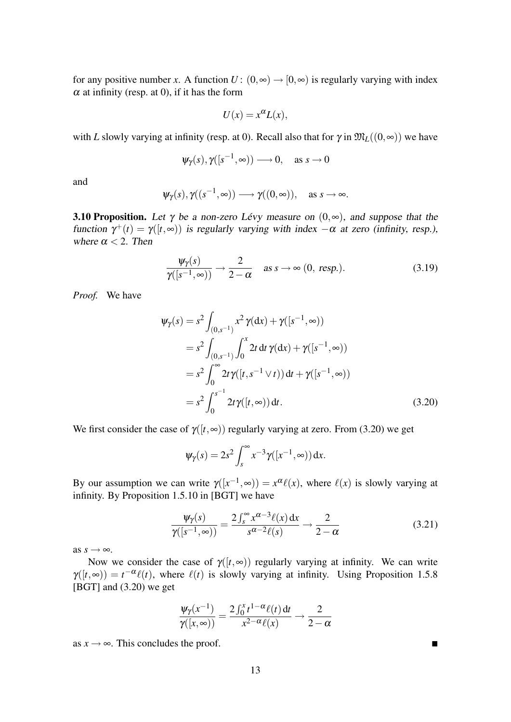for any positive number *x*. A function  $U: (0, \infty) \to [0, \infty)$  is regularly varying with index  $\alpha$  at infinity (resp. at 0), if it has the form

$$
U(x) = x^{\alpha} L(x),
$$

with *L* slowly varying at infinity (resp. at 0). Recall also that for  $\gamma$  in  $\mathfrak{M}_L((0, \infty))$  we have

$$
\psi_{\gamma}(s), \gamma([s^{-1}, \infty)) \longrightarrow 0, \text{ as } s \to 0
$$

and

$$
\psi_{\gamma}(s), \gamma((s^{-1}, \infty)) \longrightarrow \gamma((0, \infty)), \text{ as } s \to \infty.
$$

**3.10 Proposition.** Let  $\gamma$  be a non-zero Lévy measure on  $(0, \infty)$ , and suppose that the function  $\gamma^+(t) = \gamma([t, \infty))$  is regularly varying with index  $-\alpha$  at zero (infinity, resp.), where  $\alpha < 2$ . Then

$$
\frac{\psi_{\gamma}(s)}{\gamma([s^{-1},\infty))} \to \frac{2}{2-\alpha} \quad \text{as } s \to \infty \text{ (0, resp.)}.
$$
 (3.19)

*Proof.* We have

$$
\Psi_{\gamma}(s) = s^2 \int_{(0,s^{-1})} x^2 \gamma(dx) + \gamma([s^{-1}, \infty))
$$
  
=  $s^2 \int_{(0,s^{-1})} \int_0^x 2t dt \gamma(dx) + \gamma([s^{-1}, \infty))$   
=  $s^2 \int_0^{\infty} 2t \gamma([t, s^{-1} \vee t)) dt + \gamma([s^{-1}, \infty))$   
=  $s^2 \int_0^{s^{-1}} 2t \gamma([t, \infty)) dt$ . (3.20)

We first consider the case of  $\gamma([t, \infty))$  regularly varying at zero. From (3.20) we get

$$
\psi_{\gamma}(s) = 2s^2 \int_s^{\infty} x^{-3} \gamma([x^{-1}, \infty)) dx.
$$

By our assumption we can write  $\gamma([x^{-1}, \infty)) = x^{\alpha} \ell(x)$ , where  $\ell(x)$  is slowly varying at infinity. By Proposition 1.5.10 in [BGT] we have

$$
\frac{\Psi_{\gamma}(s)}{\gamma([s^{-1},\infty))} = \frac{2\int_{s}^{\infty} x^{\alpha-3}\ell(x) dx}{s^{\alpha-2}\ell(s)} \longrightarrow \frac{2}{2-\alpha}
$$
(3.21)

as  $s \rightarrow \infty$ .

Now we consider the case of  $\gamma([t,\infty))$  regularly varying at infinity. We can write  $\gamma([t,\infty)) = t^{-\alpha} \ell(t)$ , where  $\ell(t)$  is slowly varying at infinity. Using Proposition 1.5.8 [BGT] and (3.20) we get

$$
\frac{\Psi_{\gamma}(x^{-1})}{\gamma([x,\infty))} = \frac{2\int_0^x t^{1-\alpha}\ell(t) dt}{x^{2-\alpha}\ell(x)} \longrightarrow \frac{2}{2-\alpha}
$$

as  $x \to \infty$ . This concludes the proof.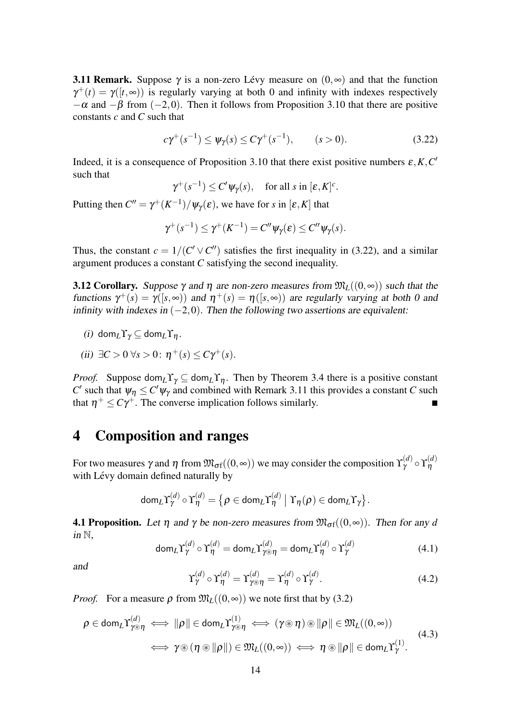**3.11 Remark.** Suppose  $\gamma$  is a non-zero Lévy measure on  $(0, \infty)$  and that the function  $\gamma^+(t) = \gamma([t, \infty))$  is regularly varying at both 0 and infinity with indexes respectively  $-\alpha$  and  $-\beta$  from (-2,0). Then it follows from Proposition 3.10 that there are positive constants *c* and *C* such that

$$
c\gamma^{+}(s^{-1}) \le \psi_{\gamma}(s) \le C\gamma^{+}(s^{-1}), \qquad (s > 0). \tag{3.22}
$$

Indeed, it is a consequence of Proposition 3.10 that there exist positive numbers  $\varepsilon$ , K, C' such that

$$
\gamma^+(s^{-1}) \le C' \psi_\gamma(s), \quad \text{for all } s \text{ in } [\varepsilon, K]^c.
$$

Putting then  $C'' = \gamma^+ (K^{-1}) / \psi_{\gamma}(\varepsilon)$ , we have for *s* in  $[\varepsilon, K]$  that

$$
\gamma^+(s^{-1}) \leq \gamma^+(K^{-1}) = C''\psi_\gamma(\varepsilon) \leq C''\psi_\gamma(s).
$$

Thus, the constant  $c = 1/(C' \vee C'')$  satisfies the first inequality in (3.22), and a similar argument produces a constant *C* satisfying the second inequality.

**3.12 Corollary.** Suppose  $\gamma$  and  $\eta$  are non-zero measures from  $\mathfrak{M}_{L}((0, \infty))$  such that the functions  $\gamma^+(s) = \gamma([s, \infty))$  and  $\eta^+(s) = \eta([s, \infty))$  are regularly varying at both 0 and infinity with indexes in  $(-2,0)$ . Then the following two assertions are equivalent:

- (i) dom<sub>*L*</sub> $\Upsilon_{\gamma} \subseteq$  dom<sub>*L*</sub> $\Upsilon_{n}$ .
- (*ii*)  $∃C > 0 ∀s > 0: η+(s) ≤ Cγ+(s).$

*Proof.* Suppose dom<sub>L</sub> $\Upsilon_{\gamma} \subseteq \text{dom}_{L} \Upsilon_{\eta}$ . Then by Theorem 3.4 there is a positive constant *C*' such that  $\psi_{\eta} \leq C' \psi_{\gamma}$  and combined with Remark 3.11 this provides a constant *C* such that  $\eta^+ \leq C\gamma^+$ . The converse implication follows similarly.

### 4 Composition and ranges

For two measures γ and η from  $\mathfrak{M}_{\sigma f}((0, \infty))$  we may consider the composition  $\Upsilon_\gamma^{(d)}\circ\Upsilon_\eta^{(d)}$ η with Lévy domain defined naturally by

$$
\text{dom}_L\Upsilon^{(d)}_\gamma\circ\Upsilon^{(d)}_\eta=\big\{\rho\in\text{dom}_L\Upsilon^{(d)}_\eta\;\big|\; \Upsilon_\eta(\rho)\in\text{dom}_L\Upsilon_\gamma\big\}.
$$

**4.1 Proposition.** Let  $\eta$  and  $\gamma$  be non-zero measures from  $\mathfrak{M}_{\sigma}(\mathfrak{g}(0,\infty))$ . Then for any *d* in  $\mathbb N$ .

$$
\text{dom}_{L}\Upsilon_{\gamma}^{(d)} \circ \Upsilon_{\eta}^{(d)} = \text{dom}_{L}\Upsilon_{\gamma \circledast \eta}^{(d)} = \text{dom}_{L}\Upsilon_{\eta}^{(d)} \circ \Upsilon_{\gamma}^{(d)}
$$
(4.1)

and

$$
\Upsilon_{\gamma}^{(d)} \circ \Upsilon_{\eta}^{(d)} = \Upsilon_{\gamma \circledast \eta}^{(d)} = \Upsilon_{\eta}^{(d)} \circ \Upsilon_{\gamma}^{(d)}.
$$
\n(4.2)

*Proof.* For a measure  $\rho$  from  $\mathfrak{M}_L((0, \infty))$  we note first that by (3.2)

$$
\rho \in \text{dom}_{L} \Upsilon_{\gamma \circledast \eta}^{(d)} \iff \|\rho\| \in \text{dom}_{L} \Upsilon_{\gamma \circledast \eta}^{(1)} \iff (\gamma \circledast \eta) \circledast \|\rho\| \in \mathfrak{M}_{L}((0, \infty))
$$
  

$$
\iff \gamma \circledast (\eta \circledast \|\rho\|) \in \mathfrak{M}_{L}((0, \infty)) \iff \eta \circledast \|\rho\| \in \text{dom}_{L} \Upsilon_{\gamma}^{(1)}.
$$
(4.3)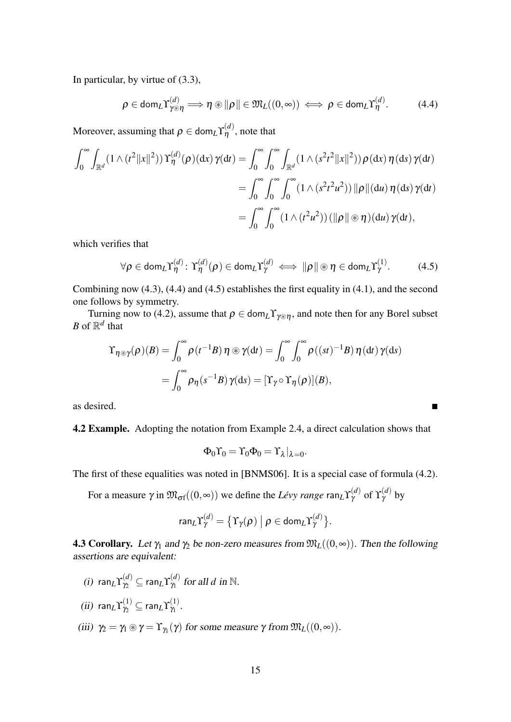In particular, by virtue of (3.3),

$$
\rho \in \text{dom}_{L} \Upsilon_{\gamma \circledast \eta}^{(d)} \implies \eta \circledast ||\rho|| \in \mathfrak{M}_{L}((0, \infty)) \iff \rho \in \text{dom}_{L} \Upsilon_{\eta}^{(d)}.
$$
 (4.4)

Moreover, assuming that  $\rho \in \text{\rm dom}_L\Upsilon^{(d)}_\eta$ , note that

$$
\int_0^\infty \int_{\mathbb{R}^d} (1 \wedge (t^2 \|x\|^2)) \Upsilon_\eta^{(d)}(\rho)(dx) \gamma(dt) = \int_0^\infty \int_0^\infty \int_{\mathbb{R}^d} (1 \wedge (s^2 t^2 \|x\|^2)) \rho(dx) \eta(ds) \gamma(dt)
$$
  
= 
$$
\int_0^\infty \int_0^\infty \int_0^\infty (1 \wedge (s^2 t^2 u^2)) \| \rho \| (du) \eta(ds) \gamma(dt)
$$
  
= 
$$
\int_0^\infty \int_0^\infty (1 \wedge (t^2 u^2)) (\|\rho\| \otimes \eta)(du) \gamma(dt),
$$

which verifies that

$$
\forall \rho \in \text{dom}_{L} \Upsilon_{\eta}^{(d)} \colon \Upsilon_{\eta}^{(d)}(\rho) \in \text{dom}_{L} \Upsilon_{\gamma}^{(d)} \iff \|\rho\| \circledast \eta \in \text{dom}_{L} \Upsilon_{\gamma}^{(1)}.
$$
 (4.5)

Combining now (4.3), (4.4) and (4.5) establishes the first equality in (4.1), and the second one follows by symmetry.

Turning now to (4.2), assume that  $\rho \in \text{dom}_L \Upsilon_{\gamma \otimes \eta}$ , and note then for any Borel subset *B* of  $\mathbb{R}^d$  that

$$
\begin{aligned} \Upsilon_{\eta \circledast \gamma}(\rho)(B) &= \int_0^\infty \rho(t^{-1}B) \,\eta \circledast \gamma(dt) = \int_0^\infty \int_0^\infty \rho((st)^{-1}B) \,\eta(dt) \,\gamma(ds) \\ &= \int_0^\infty \rho_\eta(s^{-1}B) \,\gamma(ds) = [\Upsilon_\gamma \circ \Upsilon_\eta(\rho)](B), \end{aligned}
$$

as desired.

4.2 Example. Adopting the notation from Example 2.4, a direct calculation shows that

$$
\Phi_0 \Upsilon_0 = \Upsilon_0 \Phi_0 = \Upsilon_{\lambda}|_{\lambda=0}.
$$

The first of these equalities was noted in [BNMS06]. It is a special case of formula (4.2).

For a measure  $\gamma$  in  $\mathfrak{M}_{\sigma f}((0, \infty))$  we define the *Lévy range*  $\text{\rm{ran}}_L \Upsilon^{(d)}_\gamma$  of  $\Upsilon^{(d)}_\gamma$  by

$$
\text{ran}_L\Upsilon^{(d)}_\gamma=\big\{\Upsilon_\gamma(\rho)\;\big|\;\rho\in\text{dom}_L\Upsilon^{(d)}_\gamma\big\}.
$$

**4.3 Corollary.** Let  $\gamma_1$  and  $\gamma_2$  be non-zero measures from  $\mathfrak{M}_L((0, \infty))$ . Then the following assertions are equivalent:

 $\chi^{(d)}(i)$  ran $\chi^{(d)}_{\gamma_2} \subseteq \text{ran}_L \Upsilon^{(d)}_{\gamma_1}$  $\chi_1^{(a)}$  for all *d* in N.  $(iii)$  ran $_L\Upsilon_{\gamma_2}^{(1)}\subseteq$  ran $_L\Upsilon_{\gamma_1}^{(1)}$  $\overset{(1)}{\gamma_1}.$ (iii)  $\gamma_2 = \gamma_1 \circledast \gamma = \Upsilon_{\gamma_1}(\gamma)$  for some measure  $\gamma$  from  $\mathfrak{M}_L((0, \infty))$ .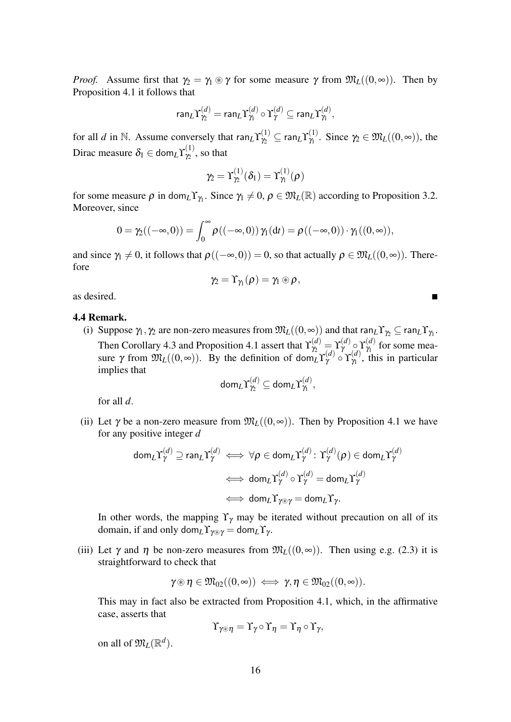*Proof.* Assume first that  $\gamma_2 = \gamma_1 \otimes \gamma$  for some measure  $\gamma$  from  $\mathfrak{M}_L((0, \infty))$ . Then by Proposition 4.1 it follows that

$$
\text{ran}_L\Upsilon_{\gamma_2}^{(d)} = \text{ran}_L\Upsilon_{\gamma_1}^{(d)} \circ \Upsilon_{\gamma}^{(d)} \subseteq \text{ran}_L\Upsilon_{\gamma_1}^{(d)},
$$

for all *d* in N. Assume conversely that  $\text{ran}_L \Upsilon_{\gamma_2}^{(1)} \subseteq \text{ran}_L \Upsilon_{\gamma_1}^{(1)}$  $\mathcal{V}_1^{(1)}$ . Since  $\gamma_2 \in \mathfrak{M}_L((0,\infty))$ , the Dirac measure  $\delta_1 \in \text{\rm dom}_L\Upsilon_{\gamma_2}^{(1)}$  $\chi_2^{(1)}$ , so that

$$
\gamma_2=\Upsilon_{\gamma_2}^{(1)}(\delta_1)=\Upsilon_{\gamma_1}^{(1)}(\rho)
$$

for some measure  $\rho$  in dom<sub>L</sub>Y<sub>*N*</sub>. Since  $\gamma_1 \neq 0$ ,  $\rho \in \mathfrak{M}_L(\mathbb{R})$  according to Proposition 3.2. Moreover, since

$$
0 = \gamma_2((-\infty,0)) = \int_0^\infty \rho((-\infty,0)) \gamma_1(dt) = \rho((-\infty,0)) \cdot \gamma_1((0,\infty)),
$$

and since  $\gamma_1 \neq 0$ , it follows that  $\rho((-\infty,0)) = 0$ , so that actually  $\rho \in \mathfrak{M}_L((0,\infty))$ . Therefore

$$
\gamma_2=\Upsilon_{\gamma_1}(\rho)=\gamma_1\circledast\rho\,,
$$

as desired.

#### 4.4 Remark.

(i) Suppose  $\gamma_1, \gamma_2$  are non-zero measures from  $\mathfrak{M}_L((0, \infty))$  and that  $ran_L \Upsilon_{\gamma_2} \subseteq ran_L \Upsilon_{\gamma_1}$ . Then Corollary 4.3 and Proposition 4.1 assert that  $\Upsilon_{\gamma_2}^{(d)} = \Upsilon_{\gamma}^{(d)} \circ \Upsilon_{\gamma_1}^{(d)}$  for some measure  $\gamma$  from  $\mathfrak{M}_L((0, \infty))$ . By the definition of dom<sub>L</sub> $\Upsilon_\gamma^{(d)} \circ \Upsilon_\gamma^{(d)}$ , this in particular implies that

$$
\mathsf{dom}_L\Upsilon_{\gamma_2}^{(d)}\subseteq\mathsf{dom}_L\Upsilon_{\gamma_1}^{(d)},
$$

for all *d*.

(ii) Let  $\gamma$  be a non-zero measure from  $\mathfrak{M}_L((0, \infty))$ . Then by Proposition 4.1 we have for any positive integer *d*

$$
\mathsf{dom}_L\Upsilon_\gamma^{(d)} \supseteq \mathsf{ran}_L\Upsilon_\gamma^{(d)} \iff \forall \rho \in \mathsf{dom}_L\Upsilon_\gamma^{(d)} \colon \Upsilon_\gamma^{(d)}(\rho) \in \mathsf{dom}_L\Upsilon_\gamma^{(d)}
$$

$$
\iff \mathsf{dom}_L\Upsilon_\gamma^{(d)} \circ \Upsilon_\gamma^{(d)} = \mathsf{dom}_L\Upsilon_\gamma^{(d)}
$$

$$
\iff \mathsf{dom}_L\Upsilon_{\gamma \circledast \gamma} = \mathsf{dom}_L\Upsilon_\gamma.
$$

In other words, the mapping  $\Upsilon_{\gamma}$  may be iterated without precaution on all of its domain, if and only dom<sub>*L*</sub>  $\Upsilon_{\gamma \otimes \gamma} = \text{dom}_{L} \Upsilon_{\gamma}$ .

(iii) Let  $\gamma$  and  $\eta$  be non-zero measures from  $\mathfrak{M}_L((0,\infty))$ . Then using e.g. (2.3) it is straightforward to check that

$$
\gamma\circledast\eta\in\mathfrak{M}_{02}((0,\infty))\iff \gamma,\eta\in\mathfrak{M}_{02}((0,\infty)).
$$

This may in fact also be extracted from Proposition 4.1, which, in the affirmative case, asserts that

$$
\Upsilon_{\gamma\circledast\eta}=\Upsilon_{\gamma}\circ\Upsilon_{\eta}=\Upsilon_{\eta}\circ\Upsilon_{\gamma},
$$

on all of  $\mathfrak{M}_L(\mathbb{R}^d)$ .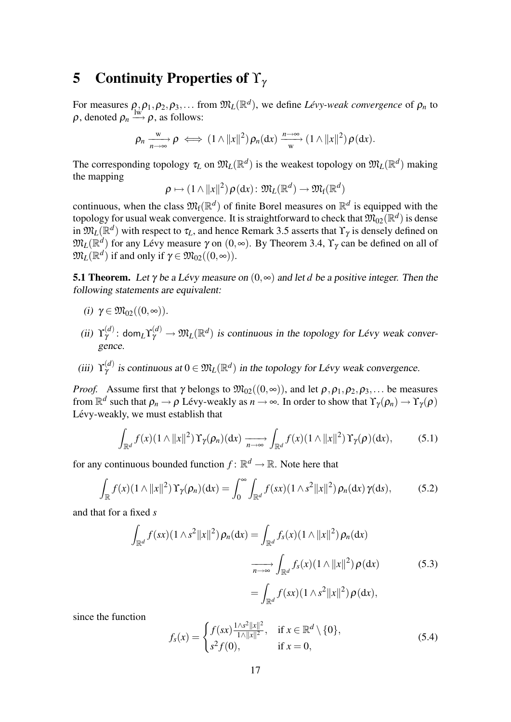## 5 Continuity Properties of  $\Upsilon_{\gamma}$

For measures  $\rho_1, \rho_1, \rho_2, \rho_3, \ldots$  from  $\mathfrak{M}_L(\mathbb{R}^d)$ , we define *Lévy-weak convergence* of  $\rho_n$  to  $\rho$ , denoted  $\rho_n \stackrel{\text{lw}}{\longrightarrow} \rho$ , as follows:

$$
\rho_n \xrightarrow[n \to \infty]{\mathbf{w}} \rho \iff (1 \wedge ||x||^2) \rho_n(\mathrm{d}x) \xrightarrow[W]{n \to \infty} (1 \wedge ||x||^2) \rho(\mathrm{d}x).
$$

The corresponding topology  $\tau_L$  on  $\mathfrak{M}_L(\mathbb{R}^d)$  is the weakest topology on  $\mathfrak{M}_L(\mathbb{R}^d)$  making the mapping

 $\rho \mapsto (1\wedge \|x\|^2) \, \rho(\textup{d} x) \colon \mathfrak{M}_L(\mathbb{R}^d) \to \mathfrak{M}_{\textup{f}}(\mathbb{R}^d)$ 

continuous, when the class  $\mathfrak{M}_{f}(\mathbb{R}^{d})$  of finite Borel measures on  $\mathbb{R}^{d}$  is equipped with the topology for usual weak convergence. It is straightforward to check that  $\mathfrak{M}_{02}(\mathbb{R}^d)$  is dense in  $\mathfrak{M}_L(\mathbb{R}^d)$  with respect to  $\tau_L$ , and hence Remark 3.5 asserts that  $\Upsilon_\gamma$  is densely defined on  $\mathfrak{M}_L(\mathbb{R}^d)$  for any Lévy measure  $\gamma$  on  $(0, \infty)$ . By Theorem 3.4,  $\Upsilon_\gamma$  can be defined on all of  $\mathfrak{M}_L(\mathbb{R}^d)$  if and only if  $\gamma \in \mathfrak{M}_{02}((0, \infty))$ .

**5.1 Theorem.** Let  $\gamma$  be a Lévy measure on  $(0, \infty)$  and let *d* be a positive integer. Then the following statements are equivalent:

$$
(i) \ \gamma \in \mathfrak{M}_{02}((0,\infty)).
$$

- (ii)  $\Upsilon_{\gamma}^{(d)}$  $\chi^{(d)}_{\gamma}$ : dom<sub>L</sub> $\Upsilon^{(d)}_{\gamma} \to \mathfrak{M}_L(\mathbb{R}^d)$  is continuous in the topology for Lévy weak convergence.
- (iii)  $\Upsilon_{\gamma}^{(d)}$  $\mathcal{V}_{\gamma}^{(d)}$  is continuous at  $0 \in \mathfrak{M}_L(\mathbb{R}^d)$  in the topology for Lévy weak convergence.

*Proof.* Assume first that  $\gamma$  belongs to  $\mathfrak{M}_{02}((0, \infty))$ , and let  $\rho, \rho_1, \rho_2, \rho_3, \ldots$  be measures from  $\mathbb{R}^d$  such that  $\rho_n\to\rho$  Lévy-weakly as  $n\to\infty.$  In order to show that  $\Upsilon_\gamma(\rho_n)\to\Upsilon_\gamma(\rho)$ Lévy-weakly, we must establish that

$$
\int_{\mathbb{R}^d} f(x) (1 \wedge ||x||^2) \Upsilon_{\gamma}(\rho_n) (dx) \xrightarrow[n \to \infty]{} \int_{\mathbb{R}^d} f(x) (1 \wedge ||x||^2) \Upsilon_{\gamma}(\rho) (dx), \tag{5.1}
$$

for any continuous bounded function  $f: \mathbb{R}^d \to \mathbb{R}$ . Note here that

$$
\int_{\mathbb{R}} f(x)(1 \wedge ||x||^2) \Upsilon_{\gamma}(\rho_n)(dx) = \int_0^{\infty} \int_{\mathbb{R}^d} f(sx)(1 \wedge s^2 ||x||^2) \rho_n(dx) \gamma(ds), \tag{5.2}
$$

and that for a fixed *s*

$$
\int_{\mathbb{R}^d} f(sx)(1 \wedge s^2 ||x||^2) \rho_n(\mathrm{d}x) = \int_{\mathbb{R}^d} f_s(x)(1 \wedge ||x||^2) \rho_n(\mathrm{d}x)
$$
\n
$$
\xrightarrow[n \to \infty]{} \int_{\mathbb{R}^d} f_s(x)(1 \wedge ||x||^2) \rho(\mathrm{d}x) \tag{5.3}
$$
\n
$$
= \int_{\mathbb{R}^d} f(sx)(1 \wedge s^2 ||x||^2) \rho(\mathrm{d}x),
$$

since the function

$$
f_s(x) = \begin{cases} f(sx) \frac{1/\sqrt{s^2 ||x||^2}}{1/\sqrt{||x||^2}}, & \text{if } x \in \mathbb{R}^d \setminus \{0\}, \\ s^2 f(0), & \text{if } x = 0, \end{cases}
$$
(5.4)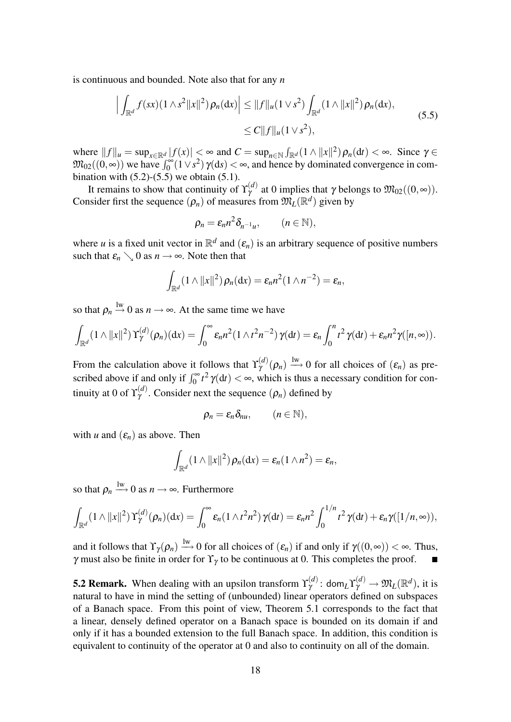is continuous and bounded. Note also that for any *n*

$$
\left| \int_{\mathbb{R}^d} f(sx)(1 \wedge s^2 ||x||^2) \rho_n(dx) \right| \le ||f||_u (1 \vee s^2) \int_{\mathbb{R}^d} (1 \wedge ||x||^2) \rho_n(dx),
$$
\n
$$
\le C ||f||_u (1 \vee s^2),
$$
\n(5.5)

where  $||f||_{\mu} = \sup_{x \in \mathbb{R}^d} |f(x)| \le \infty$  and  $C = \sup_{n \in \mathbb{N}} \int_{\mathbb{R}^d} (1 \wedge ||x||^2) \rho_n(\mathrm{d}t) < \infty$ . Since  $\gamma \in$  $\mathfrak{M}_{02}((0, \infty))$  we have  $\int_0^\infty (1 \vee s^2) \gamma(ds) < \infty$ , and hence by dominated convergence in combination with  $(5.2)$ - $(5.5)$  we obtain  $(5.1)$ .

It remains to show that continuity of  $\Upsilon_{\gamma}^{(d)}$  at 0 implies that  $\gamma$  belongs to  $\mathfrak{M}_{02}((0, \infty))$ . Consider first the sequence  $(\rho_n)$  of measures from  $\mathfrak{M}_L(\mathbb{R}^d)$  given by

$$
\rho_n = \varepsilon_n n^2 \delta_{n^{-1}u}, \qquad (n \in \mathbb{N}),
$$

where *u* is a fixed unit vector in  $\mathbb{R}^d$  and  $(\varepsilon_n)$  is an arbitrary sequence of positive numbers such that  $\varepsilon_n \searrow 0$  as  $n \to \infty$ . Note then that

$$
\int_{\mathbb{R}^d} (1 \wedge ||x||^2) \rho_n(\mathrm{d} x) = \varepsilon_n n^2 (1 \wedge n^{-2}) = \varepsilon_n,
$$

so that  $\rho_n \stackrel{\text{lw}}{\rightarrow} 0$  as  $n \rightarrow \infty$ . At the same time we have

$$
\int_{\mathbb{R}^d} (1 \wedge ||x||^2) \Upsilon_{\gamma}^{(d)}(\rho_n)(\mathrm{d}x) = \int_0^{\infty} \varepsilon_n n^2 (1 \wedge t^2 n^{-2}) \gamma(\mathrm{d}t) = \varepsilon_n \int_0^n t^2 \gamma(\mathrm{d}t) + \varepsilon_n n^2 \gamma([n, \infty)).
$$

From the calculation above it follows that  $\Upsilon_{\gamma}^{(d)}(\rho_n) \stackrel{\text{lw}}{\longrightarrow} 0$  for all choices of  $(\varepsilon_n)$  as prescribed above if and only if  $\int_0^\infty t^2 \gamma(dt) < \infty$ , which is thus a necessary condition for continuity at 0 of  $\Upsilon_{\gamma}^{(d)}$  $\gamma^{(a)}$ . Consider next the sequence  $(\rho_n)$  defined by

$$
\rho_n=\varepsilon_n\delta_{nu},\qquad (n\in\mathbb{N}),
$$

with *u* and  $(\varepsilon_n)$  as above. Then

$$
\int_{\mathbb{R}^d} (1 \wedge ||x||^2) \, \rho_n(\mathrm{d}x) = \varepsilon_n(1 \wedge n^2) = \varepsilon_n,
$$

so that  $\rho_n \stackrel{\text{lw}}{\longrightarrow} 0$  as  $n \to \infty$ . Furthermore

$$
\int_{\mathbb{R}^d} (1 \wedge ||x||^2) \Upsilon_\gamma^{(d)}(\rho_n)(\mathrm{d}x) = \int_0^\infty \varepsilon_n (1 \wedge t^2 n^2) \gamma(\mathrm{d}t) = \varepsilon_n n^2 \int_0^{1/n} t^2 \gamma(\mathrm{d}t) + \varepsilon_n \gamma([1/n, \infty)),
$$

and it follows that  $\Upsilon_{\gamma}(\rho_n) \stackrel{\text{lw}}{\longrightarrow} 0$  for all choices of  $(\varepsilon_n)$  if and only if  $\gamma((0,\infty)) < \infty$ . Thus, γ must also be finite in order for  $\Upsilon$ <sub>γ</sub> to be continuous at 0. This completes the proof.

**5.2 Remark.** When dealing with an upsilon transform  $\Upsilon_{\gamma}^{(d)}$  $\mathfrak{M}_{\mathcal{U}}^{(d)}: \text{\rm dom}_L\Upsilon_{\gamma}^{(d)} \to \mathfrak{M}_L(\mathbb{R}^d)$ , it is natural to have in mind the setting of (unbounded) linear operators defined on subspaces of a Banach space. From this point of view, Theorem 5.1 corresponds to the fact that a linear, densely defined operator on a Banach space is bounded on its domain if and only if it has a bounded extension to the full Banach space. In addition, this condition is equivalent to continuity of the operator at 0 and also to continuity on all of the domain.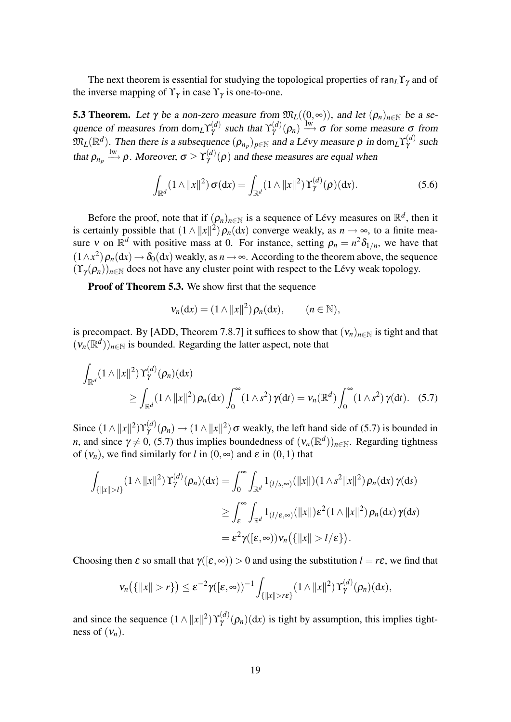The next theorem is essential for studying the topological properties of ran<sub>L</sub>Y<sub>γ</sub> and of the inverse mapping of  $\Upsilon_{\gamma}$  in case  $\Upsilon_{\gamma}$  is one-to-one.

**5.3 Theorem.** Let  $\gamma$  be a non-zero measure from  $\mathfrak{M}_L((0, \infty))$ , and let  $(\rho_n)_{n \in \mathbb{N}}$  be a sequence of measures from dom<sub>L</sub> $\Upsilon_{\gamma}^{(d)}$  such that  $\Upsilon_{\gamma}^{(d)}(\rho_n) \stackrel{\text{lw}}{\longrightarrow} \sigma$  for some measure  $\sigma$  from  $\mathfrak{M}_L(\mathbb{R}^d)$ . Then there is a subsequence  $(\rho_{n_p})_{p \in \mathbb{N}}$  and a Lévy measure  $\rho$  in dom<sub>L</sub>Y<sub>Y</sub><sup>(d)</sup> such that  $\rho_{n_p} \stackrel{\text{lw}}{\longrightarrow} \rho$ . Moreover,  $\sigma \ge \Upsilon_{\gamma}^{(d)}(\rho)$  and these measures are equal when

$$
\int_{\mathbb{R}^d} (1 \wedge ||x||^2) \sigma(\mathrm{d}x) = \int_{\mathbb{R}^d} (1 \wedge ||x||^2) \Upsilon^{(d)}_{\gamma}(\rho)(\mathrm{d}x). \tag{5.6}
$$

Before the proof, note that if  $(\rho_n)_{n \in \mathbb{N}}$  is a sequence of Lévy measures on  $\mathbb{R}^d$ , then it is certainly possible that  $(1 \wedge ||x||^2)\rho_n(dx)$  converge weakly, as  $n \to \infty$ , to a finite measure v on  $\mathbb{R}^d$  with positive mass at 0. For instance, setting  $\rho_n = n^2 \delta_{1/n}$ , we have that  $(1 \wedge x^2)$   $\rho_n(\text{d}x) \to \delta_0(\text{d}x)$  weakly, as  $n \to \infty$ . According to the theorem above, the sequence  $(\Upsilon_{\gamma}(\rho_n))_{n\in\mathbb{N}}$  does not have any cluster point with respect to the Lévy weak topology.

Proof of Theorem 5.3. We show first that the sequence

$$
\mathbf{v}_n(\mathrm{d}x)=(1\wedge||x||^2)\,\rho_n(\mathrm{d}x),\qquad(n\in\mathbb{N}),
$$

is precompact. By [ADD, Theorem 7.8.7] it suffices to show that  $(v_n)_{n \in \mathbb{N}}$  is tight and that  $(\mathsf{v}_n(\mathbb{R}^d))_{n \in \mathbb{N}}$  is bounded. Regarding the latter aspect, note that

$$
\int_{\mathbb{R}^d} (1 \wedge ||x||^2) Y^{(d)}_\gamma(\rho_n)(\mathrm{d}x) \n\geq \int_{\mathbb{R}^d} (1 \wedge ||x||^2) \rho_n(\mathrm{d}x) \int_0^\infty (1 \wedge s^2) \gamma(\mathrm{d}t) = v_n(\mathbb{R}^d) \int_0^\infty (1 \wedge s^2) \gamma(\mathrm{d}t). \quad (5.7)
$$

Since  $(1 \wedge ||x||^2) Y^{(d)}_\gamma(\rho_n) \to (1 \wedge ||x||^2) \sigma$  weakly, the left hand side of (5.7) is bounded in *n*, and since  $\gamma \neq 0$ , (5.7) thus implies boundedness of  $(v_n(\mathbb{R}^d))_{n \in \mathbb{N}}$ . Regarding tightness of  $(v_n)$ , we find similarly for *l* in  $(0, \infty)$  and  $\varepsilon$  in  $(0,1)$  that

$$
\int_{\{|x||>l\}} (1 \wedge ||x||^2) Y_{\gamma}^{(d)}(\rho_n)(dx) = \int_0^{\infty} \int_{\mathbb{R}^d} 1_{(l/s,\infty)}(||x||)(1 \wedge s^2 ||x||^2) \rho_n(dx) \gamma(ds)
$$
  

$$
\geq \int_{\varepsilon}^{\infty} \int_{\mathbb{R}^d} 1_{(l/\varepsilon,\infty)}(||x||) \varepsilon^2 (1 \wedge ||x||^2) \rho_n(dx) \gamma(ds)
$$
  

$$
= \varepsilon^2 \gamma([\varepsilon,\infty)) \nu_n(\{||x|| > l/\varepsilon\}).
$$

Choosing then  $\varepsilon$  so small that  $\gamma([\varepsilon,\infty)) > 0$  and using the substitution  $l = r\varepsilon$ , we find that

$$
v_n\big(\{\|x\|>r\}\big)\leq \varepsilon^{-2}\gamma([\varepsilon,\infty))^{-1}\int_{\{\|x\|>r\varepsilon\}}(1\wedge\|x\|^2)\Upsilon_{\gamma}^{(d)}(\rho_n)(\mathrm{d} x),
$$

and since the sequence  $(1 \wedge ||x||^2) \Upsilon_{\gamma}^{(d)}(\rho_n)(dx)$  is tight by assumption, this implies tightness of  $(v_n)$ .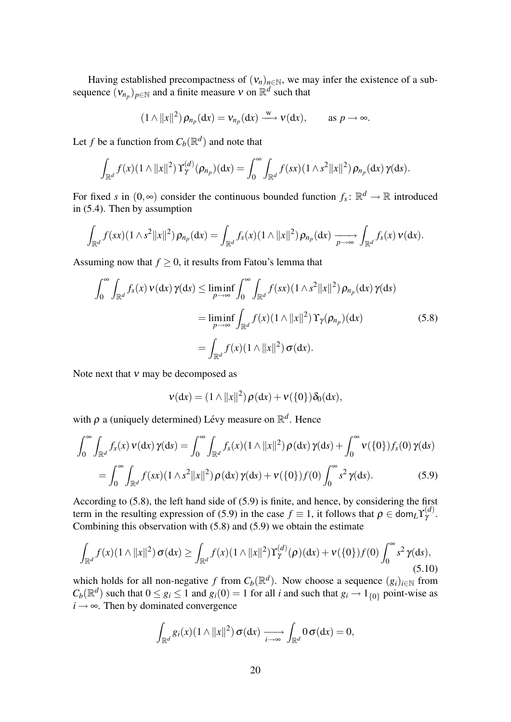Having established precompactness of  $(v_n)_{n \in \mathbb{N}}$ , we may infer the existence of a subsequence  $(v_{n_p})_{p \in \mathbb{N}}$  and a finite measure v on  $\mathbb{R}^d$  such that

$$
(1 \wedge ||x||^2) \rho_{n_p}(\mathrm{d}x) = v_{n_p}(\mathrm{d}x) \xrightarrow{w} v(\mathrm{d}x), \quad \text{as } p \to \infty.
$$

Let *f* be a function from  $C_b(\mathbb{R}^d)$  and note that

$$
\int_{\mathbb{R}^d} f(x) (1 \wedge ||x||^2) \Upsilon_\gamma^{(d)}(\rho_{n_p})(\mathrm{d}x) = \int_0^\infty \int_{\mathbb{R}^d} f(sx) (1 \wedge s^2 ||x||^2) \rho_{n_p}(\mathrm{d}x) \gamma(\mathrm{d}s).
$$

For fixed *s* in  $(0, \infty)$  consider the continuous bounded function  $f_s: \mathbb{R}^d \to \mathbb{R}$  introduced in (5.4). Then by assumption

$$
\int_{\mathbb{R}^d} f(sx)(1\wedge s^2||x||^2)\,\rho_{n_p}(\mathrm{d}x) = \int_{\mathbb{R}^d} f_s(x)(1\wedge ||x||^2)\,\rho_{n_p}(\mathrm{d}x) \xrightarrow[p\to\infty]{} \int_{\mathbb{R}^d} f_s(x)\,\nu(\mathrm{d}x).
$$

Assuming now that  $f \geq 0$ , it results from Fatou's lemma that

$$
\int_0^\infty \int_{\mathbb{R}^d} f_s(x) \nu(\mathrm{d}x) \gamma(\mathrm{d}s) \le \liminf_{p \to \infty} \int_0^\infty \int_{\mathbb{R}^d} f(sx) (1 \wedge s^2 ||x||^2) \rho_{n_p}(\mathrm{d}x) \gamma(\mathrm{d}s)
$$
  
= 
$$
\liminf_{p \to \infty} \int_{\mathbb{R}^d} f(x) (1 \wedge ||x||^2) \Upsilon_\gamma(\rho_{n_p})(\mathrm{d}x)
$$
(5.8)  
= 
$$
\int_{\mathbb{R}^d} f(x) (1 \wedge ||x||^2) \sigma(\mathrm{d}x).
$$

Note next that  $v$  may be decomposed as

$$
\mathbf{v}(\mathrm{d}x) = (1 \wedge ||x||^2) \rho(\mathrm{d}x) + \mathbf{v}(\{0\}) \delta_0(\mathrm{d}x),
$$

with  $\rho$  a (uniquely determined) Lévy measure on  $\mathbb{R}^d$ . Hence

$$
\int_0^{\infty} \int_{\mathbb{R}^d} f_s(x) \nu(\mathrm{d}x) \gamma(\mathrm{d}s) = \int_0^{\infty} \int_{\mathbb{R}^d} f_s(x) (1 \wedge ||x||^2) \rho(\mathrm{d}x) \gamma(\mathrm{d}s) + \int_0^{\infty} \nu(\{0\}) f_s(0) \gamma(\mathrm{d}s)
$$

$$
= \int_0^{\infty} \int_{\mathbb{R}^d} f(sx) (1 \wedge s^2 ||x||^2) \rho(\mathrm{d}x) \gamma(\mathrm{d}s) + \nu(\{0\}) f(0) \int_0^{\infty} s^2 \gamma(\mathrm{d}s). \tag{5.9}
$$

According to (5.8), the left hand side of (5.9) is finite, and hence, by considering the first term in the resulting expression of (5.9) in the case  $f \equiv 1$ , it follows that  $\rho \in \text{dom}_L Y_\gamma^{(d)}$ . Combining this observation with (5.8) and (5.9) we obtain the estimate

$$
\int_{\mathbb{R}^d} f(x)(1 \wedge ||x||^2) \sigma(\mathrm{d}x) \ge \int_{\mathbb{R}^d} f(x)(1 \wedge ||x||^2) \Upsilon_{\gamma}^{(d)}(\rho)(\mathrm{d}x) + \nu(\{0\}) f(0) \int_0^{\infty} s^2 \gamma(\mathrm{d}s),\tag{5.10}
$$

which holds for all non-negative *f* from  $C_b(\mathbb{R}^d)$ . Now choose a sequence  $(g_i)_{i \in \mathbb{N}}$  from  $C_b(\mathbb{R}^d)$  such that  $0 \le g_i \le 1$  and  $g_i(0) = 1$  for all *i* and such that  $g_i \to 1_{\{0\}}$  point-wise as  $i \rightarrow \infty$ . Then by dominated convergence

$$
\int_{\mathbb{R}^d} g_i(x) (1 \wedge ||x||^2) \, \sigma(\mathrm{d}x) \xrightarrow[i \to \infty]{} \int_{\mathbb{R}^d} 0 \, \sigma(\mathrm{d}x) = 0,
$$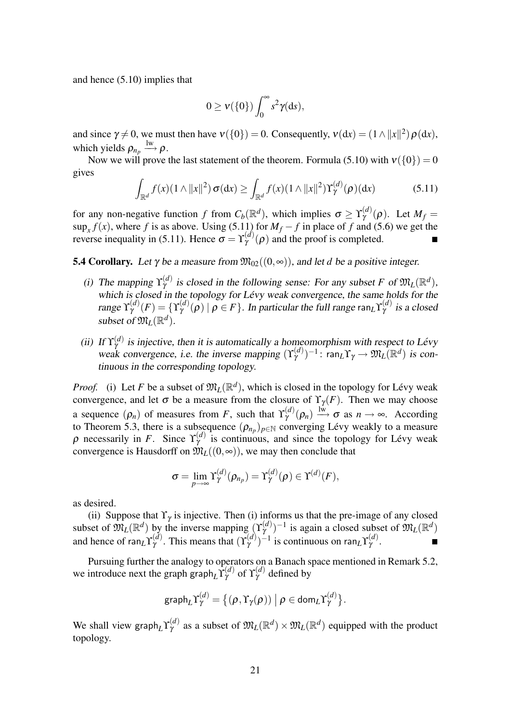and hence (5.10) implies that

$$
0\geq \nu(\{0\})\int_0^\infty s^2\gamma (ds),
$$

and since  $\gamma \neq 0$ , we must then have  $v({0}) = 0$ . Consequently,  $v(dx) = (1 \wedge ||x||^2) \rho(dx)$ , which yields  $\rho_{n_p} \stackrel{\text{lw}}{\longrightarrow} \rho$ .

Now we will prove the last statement of the theorem. Formula (5.10) with  $v({0}) = 0$ gives

$$
\int_{\mathbb{R}^d} f(x) (1 \wedge ||x||^2) \sigma(\mathrm{d}x) \ge \int_{\mathbb{R}^d} f(x) (1 \wedge ||x||^2) \Upsilon_{\gamma}^{(d)}(\rho)(\mathrm{d}x) \tag{5.11}
$$

for any non-negative function *f* from  $C_b(\mathbb{R}^d)$ , which implies  $\sigma \ge \Upsilon_\gamma^{(d)}(\rho)$ . Let  $M_f =$  $\sup_x f(x)$ , where *f* is as above. Using (5.11) for  $M_f - f$  in place of *f* and (5.6) we get the reverse inequality in (5.11). Hence  $\sigma = Y^{(d)}_Y(\rho)$  and the proof is completed.

**5.4 Corollary.** Let  $\gamma$  be a measure from  $\mathfrak{M}_{02}((0,\infty))$ , and let *d* be a positive integer.

- (i) The mapping  $\Upsilon_{\gamma}^{(d)}$  is closed in the following sense: For any subset *F* of  $\mathfrak{M}_L(\mathbb{R}^d)$ , which is closed in the topology for Lévy weak convergence, the same holds for the range  $\Upsilon_\gamma^{(d)}(F) = \{\Upsilon_\gamma^{(d)}(\rho) \mid \rho \in F\}$ . In particular the full range ran<sub>L</sub> $\Upsilon_\gamma^{(d)}$  is a closed subset of  $\mathfrak{M}_L(\mathbb{R}^d)$ .
- (ii) If  $\Upsilon_{\gamma}^{(d)}$  is injective, then it is automatically a homeomorphism with respect to Lévy weak convergence, i.e. the inverse mapping  $(\Upsilon^{(d)}_\gamma)^{-1}$ : ran<sub>L</sub> $\Upsilon_\gamma \to \mathfrak{M}_L(\mathbb{R}^d)$  is continuous in the corresponding topology.

*Proof.* (i) Let *F* be a subset of  $\mathfrak{M}_L(\mathbb{R}^d)$ , which is closed in the topology for Lévy weak convergence, and let  $\sigma$  be a measure from the closure of  $\Upsilon_{\gamma}(F)$ . Then we may choose a sequence  $(\rho_n)$  of measures from *F*, such that  $\Upsilon^{(d)}_\gamma(\rho_n) \xrightarrow{\text{lw}} \sigma$  as  $n \to \infty$ . According to Theorem 5.3, there is a subsequence  $(\rho_{n_p})_{p \in \mathbb{N}}$  converging Lévy weakly to a measure  $\rho$  necessarily in *F*. Since  $\Upsilon_{\gamma}^{(d)}$  is continuous, and since the topology for Lévy weak convergence is Hausdorff on  $\mathfrak{M}_L((0, \infty))$ , we may then conclude that

$$
\sigma = \lim_{p \to \infty} \Upsilon_{\gamma}^{(d)}(\rho_{n_p}) = \Upsilon_{\gamma}^{(d)}(\rho) \in \Upsilon^{(d)}(F),
$$

as desired.

(ii) Suppose that  $\Upsilon_{\gamma}$  is injective. Then (i) informs us that the pre-image of any closed subset of  $\mathfrak{M}_L(\mathbb{R}^d)$  by the inverse mapping  $(\Upsilon_\gamma^{(d)})^{-1}$  is again a closed subset of  $\mathfrak{M}_L(\mathbb{R}^d)$ and hence of ran<sub>L</sub> $\Upsilon_{\gamma}^{(d)}$ . This means that  $(\Upsilon_{\gamma}^{(d)})^{-1}$  is continuous on ran<sub>L</sub> $\Upsilon_{\gamma}^{(d)}$ .

Pursuing further the analogy to operators on a Banach space mentioned in Remark 5.2, we introduce next the graph graph<sub>L</sub> $\Upsilon_{\gamma}^{(d)}$  of  $\Upsilon_{\gamma}^{(d)}$  defined by

$$
\text{graph}_{L}\Upsilon_{\gamma}^{(d)} = \{(\rho, \Upsilon_{\gamma}(\rho)) \mid \rho \in \text{dom}_{L}\Upsilon_{\gamma}^{(d)}\}.
$$

We shall view graph<sub>L</sub> $\Upsilon_{\gamma}^{(d)}$  as a subset of  $\mathfrak{M}_L(\mathbb{R}^d) \times \mathfrak{M}_L(\mathbb{R}^d)$  equipped with the product topology.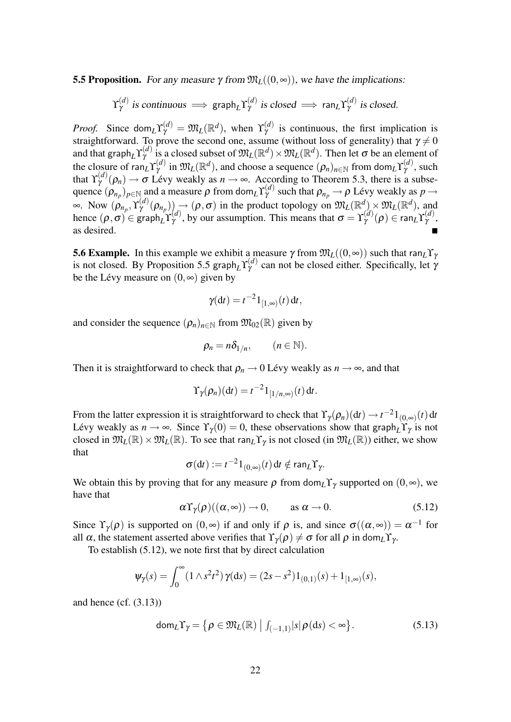**5.5 Proposition.** For any measure  $\gamma$  from  $\mathfrak{M}_L((0, \infty))$ , we have the implications:

 $\Upsilon_{\gamma}^{(d)}$  $\overset{(d)}{\gamma}$  is continuous  $\implies$  graph<sub>L</sub>Y $_{\gamma}^{(d)}$  $\hat{\gamma}^{(d)}$  is closed  $\implies$  ran<sub>L</sub>Y $_{\gamma}^{(d)}$  $\gamma^{(u)}$  is closed.

*Proof.* Since dom<sub>*L*</sub> $\Upsilon_{\gamma}^{(d)} = \mathfrak{M}_L(\mathbb{R}^d)$ , when  $\Upsilon_{\gamma}^{(d)}$  is continuous, the first implication is straightforward. To prove the second one, assume (without loss of generality) that  $\gamma \neq 0$ and that graph<sub>L</sub> $\Upsilon_{\gamma}^{(d)}$  is a closed subset of  $\mathfrak{M}_L(\mathbb{R}^d) \times \mathfrak{M}_L(\mathbb{R}^d)$ . Then let  $\sigma$  be an element of the closure of  $ran_L Y_\gamma^{(d)}$  in  $\mathfrak{M}_L(\mathbb{R}^d)$ , and choose a sequence  $(\rho_n)_{n\in\mathbb{N}}$  from dom $L Y_\gamma^{(d)}$ , such that  $\Upsilon_{\gamma}^{(d)}(\rho_n) \to \sigma$  Lévy weakly as  $n \to \infty$ . According to Theorem 5.3, there is a subsequence  $(\rho_{n_p})_{p \in \mathbb{N}}$  and a measure  $\rho$  from dom<sub>*L*</sub> $\Upsilon_{\gamma}^{(d)}$  such that  $\rho_{n_p} \to \rho$  Lévy weakly as  $p \to$  $\infty$ . Now  $(\rho_{n_p}, \Upsilon_{\gamma}^{(d)}(\rho_{n_p}))$   $\rightarrow$   $(\rho, \sigma)$  in the product topology on  $\mathfrak{M}_L(\mathbb{R}^d) \times \mathfrak{M}_L(\mathbb{R}^d)$ , and hence  $(\rho, \sigma) \in \text{graph}_L \Upsilon_\gamma^{(d)}$ , by our assumption. This means that  $\sigma = \Upsilon_\gamma^{(d)}(\rho) \in \text{ran}_L \Upsilon_\gamma^{(d)}$ , as desired.

**5.6 Example.** In this example we exhibit a measure  $\gamma$  from  $\mathfrak{M}_L((0, \infty))$  such that ran $_L\Upsilon$ is not closed. By Proposition 5.5 graph<sub>L</sub> $\Upsilon_{\gamma}^{(d)}$  can not be closed either. Specifically, let  $\gamma$ be the Lévy measure on  $(0, \infty)$  given by

$$
\gamma(\mathrm{d}t)=t^{-2}1_{[1,\infty)}(t)\,\mathrm{d}t,
$$

and consider the sequence  $(\rho_n)_{n \in \mathbb{N}}$  from  $\mathfrak{M}_{02}(\mathbb{R})$  given by

$$
\rho_n = n \delta_{1/n}, \qquad (n \in \mathbb{N}).
$$

Then it is straightforward to check that  $\rho_n \to 0$  Lévy weakly as  $n \to \infty$ , and that

$$
\Upsilon_{\gamma}(\rho_n)(\mathrm{d}t)=t^{-2}\mathrm{1}_{[1/n,\infty)}(t)\,\mathrm{d}t.
$$

From the latter expression it is straightforward to check that  $\Upsilon_{\gamma}(\rho_n)(dt) \to t^{-2}1_{(0,\infty)}(t)dt$ Lévy weakly as  $n \to \infty$ . Since  $\Upsilon_{\gamma}(0) = 0$ , these observations show that graph<sub>L</sub> $\Upsilon_{\gamma}$  is not closed in  $\mathfrak{M}_L(\mathbb{R})\times \mathfrak{M}_L(\mathbb{R})$ . To see that ran<sub>L</sub>Y<sub>Y</sub> is not closed (in  $\mathfrak{M}_L(\mathbb{R})$ ) either, we show that

$$
\sigma(\mathrm{d}t):=t^{-2}1_{(0,\infty)}(t)\,\mathrm{d}t\notin\mathrm{ran}_L\Upsilon_\gamma.
$$

We obtain this by proving that for any measure  $\rho$  from dom<sub>*L*</sub> $\Upsilon$ <sub>γ</sub> supported on  $(0, \infty)$ , we have that

$$
\alpha \Upsilon_{\gamma}(\rho)((\alpha, \infty)) \to 0, \qquad \text{as } \alpha \to 0. \tag{5.12}
$$

Since  $\Upsilon_{\gamma}(\rho)$  is supported on  $(0, \infty)$  if and only if  $\rho$  is, and since  $\sigma((\alpha, \infty)) = \alpha^{-1}$  for all  $\alpha$ , the statement asserted above verifies that  $\Upsilon_{\gamma}(\rho) \neq \sigma$  for all  $\rho$  in dom<sub>L</sub>Y<sub>γ</sub>.

To establish (5.12), we note first that by direct calculation

$$
\psi_{\gamma}(s) = \int_0^{\infty} (1 \wedge s^2 t^2) \gamma(ds) = (2s - s^2) 1_{(0,1)}(s) + 1_{[1,\infty)}(s),
$$

and hence (cf. (3.13))

$$
\text{dom}_L \Upsilon_{\gamma} = \left\{ \rho \in \mathfrak{M}_L(\mathbb{R}) \; \middle| \; \int_{(-1,1)} |s| \, \rho(ds) < \infty \right\}. \tag{5.13}
$$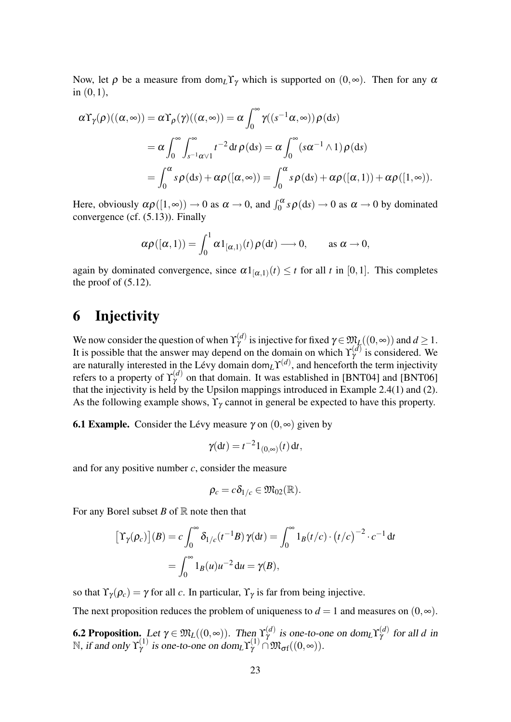Now, let  $\rho$  be a measure from dom<sub>L</sub>Y<sub>γ</sub> which is supported on  $(0, \infty)$ . Then for any  $\alpha$ in  $(0,1)$ ,

$$
\alpha \Upsilon_{\gamma}(\rho)((\alpha, \infty)) = \alpha \Upsilon_{\rho}(\gamma)((\alpha, \infty)) = \alpha \int_0^{\infty} \gamma((s^{-1}\alpha, \infty)) \rho(ds)
$$
  
=  $\alpha \int_0^{\infty} \int_{s^{-1}\alpha \vee 1}^{\infty} t^{-2} dt \rho(ds) = \alpha \int_0^{\infty} (s\alpha^{-1} \wedge 1) \rho(ds)$   
=  $\int_0^{\alpha} s \rho(ds) + \alpha \rho([\alpha, \infty)) = \int_0^{\alpha} s \rho(ds) + \alpha \rho([\alpha, 1)) + \alpha \rho([1, \infty)).$ 

Here, obviously  $\alpha \rho([1,\infty)) \to 0$  as  $\alpha \to 0$ , and  $\int_0^\alpha s \rho(ds) \to 0$  as  $\alpha \to 0$  by dominated convergence (cf. (5.13)). Finally

$$
\alpha \rho([\alpha,1)) = \int_0^1 \alpha 1_{[\alpha,1)}(t) \rho(dt) \longrightarrow 0, \quad \text{as } \alpha \to 0,
$$

again by dominated convergence, since  $\alpha 1_{[\alpha,1]}(t) \leq t$  for all t in [0,1]. This completes the proof of  $(5.12)$ .

## 6 Injectivity

We now consider the question of when  $\Upsilon_{\gamma}^{(d)}$  is injective for fixed  $\gamma \in \mathfrak{M}_L((0, \infty))$  and  $d \geq 1$ . It is possible that the answer may depend on the domain on which  $\Upsilon_{\gamma}^{(d)}$  is considered. We are naturally interested in the Lévy domain dom<sub>L</sub> $\Upsilon^{(d)}$ , and henceforth the term injectivity refers to a property of  $\Upsilon_{\gamma}^{(d)}$  on that domain. It was established in [BNT04] and [BNT06] that the injectivity is held by the Upsilon mappings introduced in Example 2.4(1) and (2). As the following example shows,  $\Upsilon_{\gamma}$  cannot in general be expected to have this property.

**6.1 Example.** Consider the Lévy measure  $\gamma$  on  $(0, \infty)$  given by

$$
\gamma(\mathrm{d}t)=t^{-2}1_{(0,\infty)}(t)\,\mathrm{d}t,
$$

and for any positive number *c*, consider the measure

$$
\rho_c = c \delta_{1/c} \in \mathfrak{M}_{02}(\mathbb{R}).
$$

For any Borel subset  $B$  of  $\mathbb R$  note then that

$$
\left[\Upsilon_{\gamma}(\rho_c)\right](B) = c \int_0^{\infty} \delta_{1/c}(t^{-1}B) \gamma(dt) = \int_0^{\infty} 1_B(t/c) \cdot \left(t/c\right)^{-2} \cdot c^{-1} dt
$$

$$
= \int_0^{\infty} 1_B(u)u^{-2} du = \gamma(B),
$$

so that  $\Upsilon_{\gamma}(\rho_c) = \gamma$  for all *c*. In particular,  $\Upsilon_{\gamma}$  is far from being injective.

The next proposition reduces the problem of uniqueness to  $d = 1$  and measures on  $(0, \infty)$ .

**6.2 Proposition.** Let  $\gamma \in \mathfrak{M}_L((0, \infty))$ . Then  $\Upsilon_\gamma^{(d)}$  is one-to-one on dom<sub>L</sub> $\Upsilon_\gamma^{(d)}$  for all d in N, if and only  $\Upsilon^{(1)}_\gamma$  is one-to-one on dom<sub>L</sub> $\Upsilon^{(1)}_\gamma \cap \mathfrak{M}_{\sigma}((0, \infty))$ .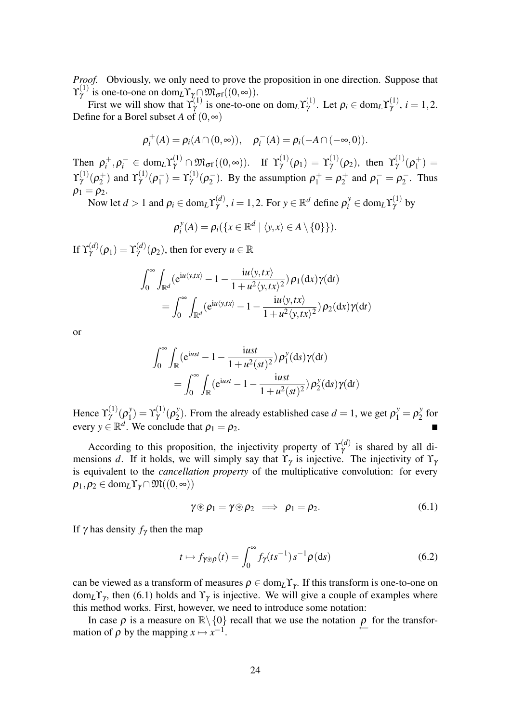*Proof.* Obviously, we only need to prove the proposition in one direction. Suppose that  $\Upsilon^{(1)}_{\gamma}$  is one-to-one on dom<sub>L</sub>Y<sub>N</sub>  $\mathfrak{M}_{\sigma f}((0,\infty))$ .

First we will show that  $\Upsilon_{\gamma}^{(1)}$  is one-to-one on dom<sub>L</sub> $\Upsilon_{\gamma}^{(1)}$ . Let  $\rho_i \in \text{dom}_{L}\Upsilon_{\gamma}^{(1)}$ ,  $i = 1, 2$ . Define for a Borel subset *A* of  $(0, \infty)$ 

$$
\rho_i^+(A) = \rho_i(A \cap (0, \infty)), \quad \rho_i^-(A) = \rho_i(-A \cap (-\infty, 0)).
$$

Then  $\rho_i^+$  $\gamma_i^+,\rho_i^-\in\text{dom}_L\Upsilon^{(1)}_\gamma\cap\mathfrak{M}_{\sigma\mathrm{f}}((0,\infty)).\quad\text{If}\;\;\Upsilon^{(1)}_\gamma(\rho_1)=\Upsilon^{(1)}_\gamma(\rho_2),\;\text{then}\;\;\Upsilon^{(1)}_\gamma(\rho_1^+)$  $\binom{+}{1} =$  $\Upsilon_{\gamma}^{(1)}(\rho_{2}^{+}% -\varepsilon_{1}\sqrt{2\pi\tau_{0}^{2}-\varepsilon_{2}})$  $\gamma_2^{\pm}$ ) and  $\Upsilon_{\gamma}^{(1)}(\rho_1^{-})$  $\gamma_1^-$ ) =  $\Upsilon^{(1)}_{\gamma}(\rho_2^-)$  $p_2^-$ ). By the assumption  $p_1^+ = p_2^+$  $p_1^+$  and  $p_1^- = p_2^ \overline{2}$ . Thus  $\rho_1 = \rho_2$ .

Now let  $d > 1$  and  $\rho_i \in \text{dom}_L \Upsilon^{(d)}_Y$ ,  $i = 1, 2$ . For  $y \in \mathbb{R}^d$  define  $\rho_i^y \in \text{dom}_L \Upsilon^{(1)}_Y$  by

$$
\rho_i^y(A) = \rho_i(\{x \in \mathbb{R}^d \mid \langle y, x \rangle \in A \setminus \{0\}\}).
$$

If  $\Upsilon_{\gamma}^{(d)}(\rho_1) = \Upsilon_{\gamma}^{(d)}(\rho_2)$ , then for every  $u \in \mathbb{R}$ 

$$
\int_0^\infty \int_{\mathbb{R}^d} (e^{iu\langle y,tx\rangle} - 1 - \frac{iu\langle y,tx\rangle}{1 + u^2 \langle y,tx\rangle^2}) \rho_1(dx) \gamma(dt)
$$
  
= 
$$
\int_0^\infty \int_{\mathbb{R}^d} (e^{iu\langle y,tx\rangle} - 1 - \frac{iu\langle y,tx\rangle}{1 + u^2 \langle y,tx\rangle^2}) \rho_2(dx) \gamma(dt)
$$

or

$$
\int_0^\infty \int_{\mathbb{R}} (e^{iust} - 1 - \frac{iust}{1 + u^2(st)^2}) \rho_1^y(ds) \gamma(dt)
$$
  
= 
$$
\int_0^\infty \int_{\mathbb{R}} (e^{iust} - 1 - \frac{iust}{1 + u^2(st)^2}) \rho_2^y(ds) \gamma(dt)
$$

Hence  $\Upsilon^{(1)}_{\gamma}(\rho_1^{\gamma})$  $\Gamma_{1}^{y}$ ) =  $\Upsilon_{\gamma}^{(1)}$  (ρ<sup>y</sup><sub>2</sub> <sup>*y*</sup><sub>2</sub>). From the already established case  $d = 1$ , we get  $\rho_1^y = \rho_2^y$  $\frac{y}{2}$  for every  $y \in \mathbb{R}^d$ . We conclude that  $\rho_1 = \rho_2$ .

According to this proposition, the injectivity property of  $\Upsilon_{\gamma}^{(d)}$  is shared by all dimensions *d*. If it holds, we will simply say that  $\Upsilon_{\gamma}$  is injective. The injectivity of  $\Upsilon_{\gamma}$ is equivalent to the *cancellation property* of the multiplicative convolution: for every  $\rho_1, \rho_2 \in \text{dom}_L \Upsilon_{\gamma} \cap \mathfrak{M}((0, \infty))$ 

$$
\gamma \circledast \rho_1 = \gamma \circledast \rho_2 \implies \rho_1 = \rho_2. \tag{6.1}
$$

If  $\gamma$  has density  $f_{\gamma}$  then the map

$$
t \mapsto f_{\gamma \otimes \rho}(t) = \int_0^\infty f_\gamma(ts^{-1}) s^{-1} \rho(ds) \tag{6.2}
$$

can be viewed as a transform of measures  $\rho \in \text{dom}_L \Upsilon_{\gamma}$ . If this transform is one-to-one on  $dom<sub>L</sub>Y<sub>γ</sub>$ , then (6.1) holds and  $Y<sub>γ</sub>$  is injective. We will give a couple of examples where this method works. First, however, we need to introduce some notation:

In case  $\rho$  is a measure on  $\mathbb{R}\setminus\{0\}$  recall that we use the notation  $\rho$  for the transfortion of  $\rho$  by the mapping  $x \mapsto x^{-1}$ mation of  $\rho$  by the mapping  $x \mapsto x^{-1}$ .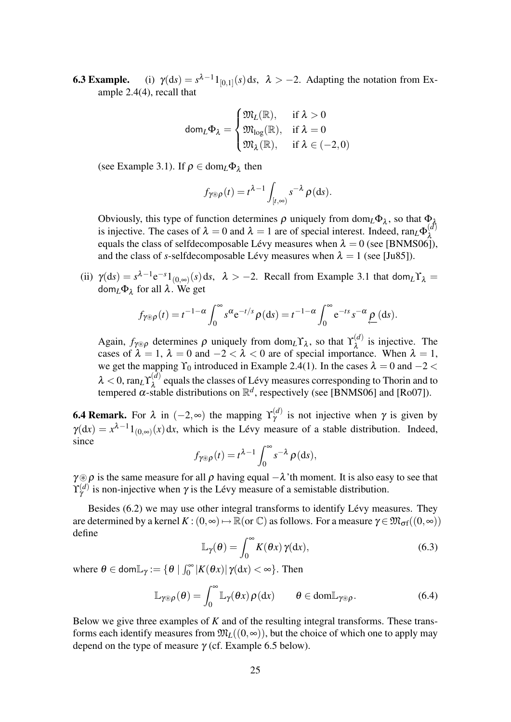**6.3 Example.** (i)  $\gamma(ds) = s^{\lambda-1}1_{[0,1]}(s)ds, \lambda > -2$ . Adapting the notation from Example 2.4(4), recall that

$$
\text{dom}_L \Phi_\lambda = \begin{cases} \mathfrak{M}_L(\mathbb{R}), & \text{if } \lambda > 0 \\ \mathfrak{M}_{\log}(\mathbb{R}), & \text{if } \lambda = 0 \\ \mathfrak{M}_\lambda(\mathbb{R}), & \text{if } \lambda \in (-2,0) \end{cases}
$$

(see Example 3.1). If  $\rho \in \text{dom}_L \Phi_{\lambda}$  then

$$
f_{\gamma\otimes\rho}(t)=t^{\lambda-1}\int_{[t,\infty)}s^{-\lambda}\,\rho(\mathrm{d}s).
$$

Obviously, this type of function determines  $\rho$  uniquely from dom<sub>*L*</sub> $\Phi_{\lambda}$ , so that  $\Phi_{\lambda}$ is injective. The cases of  $\lambda = 0$  and  $\lambda = 1$  are of special interest. Indeed, ran<sub>L</sub> $\Phi_{\lambda}^{(d)}$ λ equals the class of selfdecomposable Lévy measures when  $\lambda = 0$  (see [BNMS06]), and the class of *s*-selfdecomposable Lévy measures when  $\lambda = 1$  (see [Ju85]).

(ii)  $\gamma(ds) = s^{\lambda - 1} e^{-s} 1_{(0, \infty)}(s) ds, \lambda > -2$ . Recall from Example 3.1 that dom<sub>*L*</sub>  $\gamma_{\lambda}$ dom*L*Φ<sup>λ</sup> for all λ. We get

$$
f_{\gamma\otimes\rho}(t) = t^{-1-\alpha} \int_0^\infty s^\alpha e^{-t/s} \rho(ds) = t^{-1-\alpha} \int_0^\infty e^{-ts} s^{-\alpha} \underline{\rho}(ds).
$$

Again,  $f_{\gamma \otimes \rho}$  determines  $\rho$  uniquely from dom<sub>*L*</sub>  $\Upsilon_\lambda$ , so that  $\Upsilon_\lambda^{(d)}$  $\lambda^{(a)}$  is injective. The cases of  $\lambda = 1$ ,  $\lambda = 0$  and  $-2 < \lambda < 0$  are of special importance. When  $\lambda = 1$ , we get the mapping  $\Upsilon_0$  introduced in Example 2.4(1). In the cases  $\lambda = 0$  and  $-2 <$  $λ < 0$ , ran<sub>L</sub> $\Upsilon$ <sup>(*d*)</sup><sub> $λ$ </sub>  $\lambda^{(a)}$  equals the classes of Lévy measures corresponding to Thorin and to tempered  $\alpha$ -stable distributions on  $\mathbb{R}^d$ , respectively (see [BNMS06] and [Ro07]).

**6.4 Remark.** For  $\lambda$  in  $(-2, \infty)$  the mapping  $\Upsilon_{\gamma}^{(d)}$  is not injective when  $\gamma$  is given by  $\gamma(dx) = x^{\lambda-1} 1_{(0,\infty)}(x) dx$ , which is the Lévy measure of a stable distribution. Indeed, since

$$
f_{\gamma\otimes\rho}(t) = t^{\lambda-1} \int_0^\infty s^{-\lambda} \rho(ds),
$$

 $\gamma \otimes \rho$  is the same measure for all  $\rho$  having equal  $-\lambda$ 'th moment. It is also easy to see that  $\Upsilon_{\gamma}^{(d)}$  is non-injective when  $\gamma$  is the Lévy measure of a semistable distribution.

Besides  $(6.2)$  we may use other integral transforms to identify Lévy measures. They are determined by a kernel  $K : (0, \infty) \mapsto \mathbb{R}$  (or  $\mathbb{C}$ ) as follows. For a measure  $\gamma \in \mathfrak{M}_{\sigma}$  $((0, \infty))$ define

$$
\mathbb{L}_{\gamma}(\theta) = \int_0^\infty K(\theta x) \gamma(\mathrm{d}x),\tag{6.3}
$$

where  $\theta \in \text{dom}\mathbb{L}_{\gamma} := \{ \theta \mid \int_0^{\infty} |K(\theta x)| \gamma(dx) < \infty \}.$  Then

$$
\mathbb{L}_{\gamma \otimes \rho}(\theta) = \int_0^\infty \mathbb{L}_{\gamma}(\theta x) \rho(\mathrm{d}x) \qquad \theta \in \mathrm{dom} \mathbb{L}_{\gamma \otimes \rho}.
$$
 (6.4)

Below we give three examples of *K* and of the resulting integral transforms. These transforms each identify measures from  $\mathfrak{M}_L((0, \infty))$ , but the choice of which one to apply may depend on the type of measure  $\gamma$  (cf. Example 6.5 below).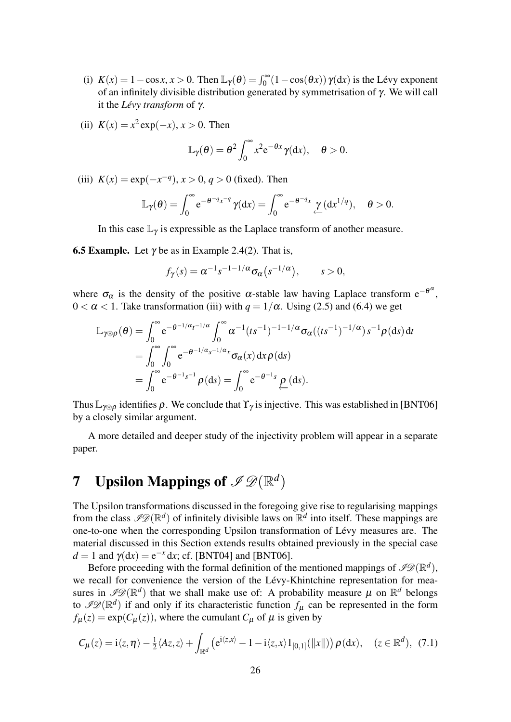- (i)  $K(x) = 1 \cos x, x > 0$ . Then  $\mathbb{L}_{\gamma}(\theta) = \int_0^{\infty} (1 \cos(\theta x)) \gamma(dx)$  is the Lévy exponent of an infinitely divisible distribution generated by symmetrisation of γ. We will call it the *Lévy transform* of γ.
- (ii)  $K(x) = x^2 \exp(-x)$ ,  $x > 0$ . Then

$$
\mathbb{L}_{\gamma}(\theta) = \theta^2 \int_0^{\infty} x^2 e^{-\theta x} \gamma(dx), \quad \theta > 0.
$$

(iii)  $K(x) = \exp(-x^{-q}), x > 0, q > 0$  (fixed). Then

$$
\mathbb{L}_{\gamma}(\theta) = \int_0^{\infty} e^{-\theta^{-q} x^{-q}} \gamma(dx) = \int_0^{\infty} e^{-\theta^{-q} x} \underbrace{\gamma}_{\leftarrow} (dx^{1/q}), \quad \theta > 0.
$$

In this case  $\mathbb{L}_{\gamma}$  is expressible as the Laplace transform of another measure.

**6.5 Example.** Let  $\gamma$  be as in Example 2.4(2). That is,

$$
f_{\gamma}(s) = \alpha^{-1} s^{-1-1/\alpha} \sigma_{\alpha}(s^{-1/\alpha}), \qquad s > 0,
$$

where  $\sigma_{\alpha}$  is the density of the positive  $\alpha$ -stable law having Laplace transform  $e^{-\theta^{\alpha}}$ ,  $0 < \alpha < 1$ . Take transformation (iii) with  $q = 1/\alpha$ . Using (2.5) and (6.4) we get

$$
\mathbb{L}_{\gamma \otimes \rho}(\theta) = \int_0^{\infty} e^{-\theta^{-1/\alpha} t^{-1/\alpha}} \int_0^{\infty} \alpha^{-1} (ts^{-1})^{-1-\frac{1}{\alpha}} \sigma_\alpha((ts^{-1})^{-1/\alpha}) s^{-1} \rho(ds) dt
$$
  
\n
$$
= \int_0^{\infty} \int_0^{\infty} e^{-\theta^{-1/\alpha} s^{-1/\alpha} x} \sigma_\alpha(x) dx \rho(ds)
$$
  
\n
$$
= \int_0^{\infty} e^{-\theta^{-1} s^{-1}} \rho(ds) = \int_0^{\infty} e^{-\theta^{-1} s} \rho(ds).
$$

Thus  $\mathbb{L}_{\gamma\otimes\rho}$  identifies  $\rho$ . We conclude that  $\Upsilon_{\gamma}$  is injective. This was established in [BNT06] by a closely similar argument.

A more detailed and deeper study of the injectivity problem will appear in a separate paper.

# **7** Upsilon Mappings of  $\mathscr{S}\mathscr{D}(\mathbb{R}^d)$

The Upsilon transformations discussed in the foregoing give rise to regularising mappings from the class  $\mathscr{I}\mathscr{D}(\mathbb{R}^d)$  of infinitely divisible laws on  $\mathbb{R}^d$  into itself. These mappings are one-to-one when the corresponding Upsilon transformation of Lévy measures are. The material discussed in this Section extends results obtained previously in the special case  $d = 1$  and  $\gamma(dx) = e^{-x} dx$ ; cf. [BNT04] and [BNT06].

Before proceeding with the formal definition of the mentioned mappings of  $\mathscr{P}\!\mathscr{D}(\mathbb{R}^d)$ , we recall for convenience the version of the Lévy-Khintchine representation for measures in  $\mathscr{P}(\mathbb{R}^d)$  that we shall make use of: A probability measure  $\mu$  on  $\mathbb{R}^d$  belongs to  $\mathscr{I}\mathscr{D}(\mathbb{R}^d)$  if and only if its characteristic function  $f_\mu$  can be represented in the form  $f_{\mu}(z) = \exp(C_{\mu}(z))$ , where the cumulant  $C_{\mu}$  of  $\mu$  is given by

$$
C_{\mu}(z) = \mathrm{i}\langle z,\eta\rangle - \tfrac{1}{2}\langle Az,z\rangle + \int_{\mathbb{R}^d} \left(e^{\mathrm{i}\langle z,x\rangle} - 1 - \mathrm{i}\langle z,x\rangle 1_{[0,1]}(\|x\|)\right) \rho(\mathrm{d}x), \quad (z \in \mathbb{R}^d), \tag{7.1}
$$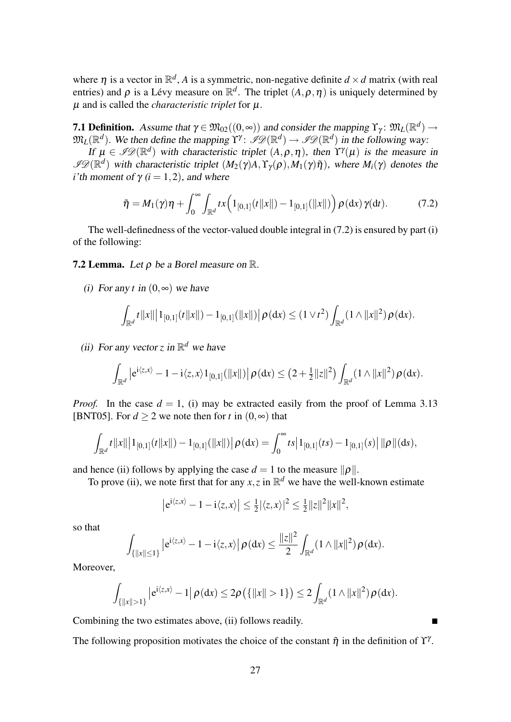where  $\eta$  is a vector in  $\mathbb{R}^d$ , A is a symmetric, non-negative definite  $d \times d$  matrix (with real entries) and  $\rho$  is a Lévy measure on  $\mathbb{R}^d$ . The triplet  $(A, \rho, \eta)$  is uniquely determined by  $\mu$  and is called the *characteristic triplet* for  $\mu$ .

**7.1 Definition.** Assume that  $\gamma \in \mathfrak{M}_{02}((0, \infty))$  and consider the mapping  $\Upsilon_{\gamma} \colon \mathfrak{M}_{L}(\mathbb{R}^{d}) \to$  $\mathfrak{M}_L(\mathbb{R}^d)$ . We then define the mapping  $\Upsilon^\gamma$ :  $\mathscr{I}\mathscr{D}(\mathbb{R}^d) \to \mathscr{I}\mathscr{D}(\mathbb{R}^d)$  in the following way:

If  $\mu \in \mathscr{I}D(\mathbb{R}^d)$  with characteristic triplet  $(A, \rho, \eta)$ , then  $\Upsilon^{\gamma}(\mu)$  is the measure in  $\mathscr{I}D(\mathbb{R}^d)$  with characteristic triplet  $(M_2(\gamma)A, Y_\gamma(\rho), M_1(\gamma)\tilde{\eta})$ , where  $M_i(\gamma)$  denotes the *i*'th moment of  $\gamma$  (*i* = 1, 2), and where

$$
\tilde{\eta} = M_1(\gamma)\eta + \int_0^\infty \int_{\mathbb{R}^d} tx \Big(1_{[0,1]}(t||x||) - 1_{[0,1]}(||x||)\Big) \rho(\mathrm{d}x) \gamma(\mathrm{d}t). \tag{7.2}
$$

The well-definedness of the vector-valued double integral in (7.2) is ensured by part (i) of the following:

**7.2 Lemma.** Let  $\rho$  be a Borel measure on  $\mathbb{R}$ .

(i) For any *t* in  $(0, \infty)$  we have

$$
\int_{\mathbb{R}^d} t \|x\| \bigl| 1_{[0,1]}(t \|x\|) - 1_{[0,1]}(\|x\|) \bigr| \, \rho(\textup{d} x) \leq (1 \vee t^2) \int_{\mathbb{R}^d} (1 \wedge \|x\|^2) \, \rho(\textup{d} x).
$$

(ii) For any vector *z* in  $\mathbb{R}^d$  we have

$$
\int_{\mathbb{R}^d} \left| e^{i \langle z, x \rangle} - 1 - i \langle z, x \rangle 1_{[0,1]}(\|x\|) \right| \rho(\mathrm{d}x) \leq (2 + \frac{1}{2} \|z\|^2) \int_{\mathbb{R}^d} (1 \wedge \|x\|^2) \rho(\mathrm{d}x).
$$

*Proof.* In the case  $d = 1$ , (i) may be extracted easily from the proof of Lemma 3.13 [BNT05]. For  $d \ge 2$  we note then for *t* in  $(0, \infty)$  that

$$
\int_{\mathbb{R}^d} t \|x\| |1_{[0,1]}(t \|x\|) - 1_{[0,1]}(\|x\|) | \rho(dx) = \int_0^\infty t s |1_{[0,1]}(ts) - 1_{[0,1]}(s) | ||\rho||(ds),
$$

and hence (ii) follows by applying the case  $d = 1$  to the measure  $\|\rho\|$ .

To prove (ii), we note first that for any  $x, z$  in  $\mathbb{R}^d$  we have the well-known estimate

$$
\left|e^{i\langle z,x\rangle}-1-i\langle z,x\rangle\right|\leq\frac{1}{2}|\langle z,x\rangle|^2\leq\frac{1}{2}\|z\|^2\|x\|^2,
$$

so that

$$
\int_{\{|x||\leq 1\}}\left|e^{i\langle z,x\rangle}-1-i\langle z,x\rangle\right|\rho(\mathrm{d}x)\leq \frac{\|z\|^2}{2}\int_{\mathbb{R}^d}(1\wedge\|x\|^2)\rho(\mathrm{d}x).
$$

Moreover,

$$
\int_{\{|x\|>1\}}\left|e^{i\langle z,x\rangle}-1\right|\rho(\mathrm{d} x)\leq 2\rho\big(\{\|x\|>1\}\big)\leq 2\int_{\mathbb{R}^d}(1\wedge\|x\|^2)\rho(\mathrm{d} x).
$$

Combining the two estimates above, (ii) follows readily.

The following proposition motivates the choice of the constant  $\tilde{\eta}$  in the definition of  $\Upsilon^{\gamma}$ .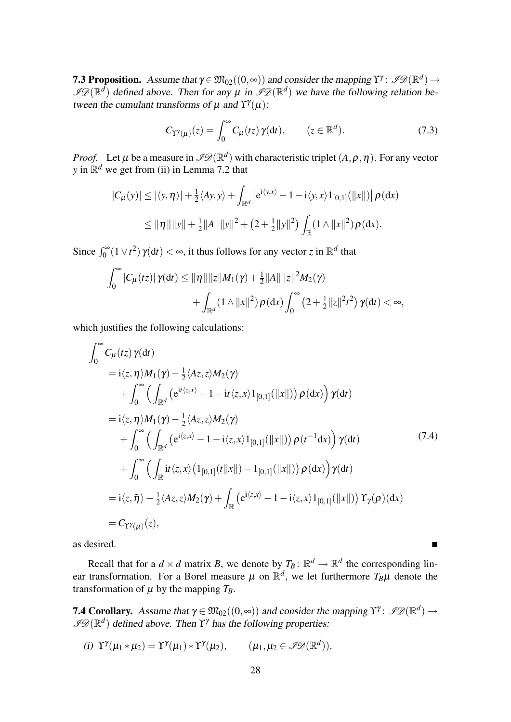**7.3 Proposition.** Assume that  $\gamma \in \mathfrak{M}_{02}((0, \infty))$  and consider the mapping  $\Upsilon^{\gamma}$ :  $\mathscr{P}\mathscr{D}(\mathbb{R}^d)$   $\rightarrow$  $\mathscr{P} \mathscr{D}(\mathbb{R}^d)$  defined above. Then for any  $\mu$  in  $\mathscr{P} \mathscr{D}(\mathbb{R}^d)$  we have the following relation between the cumulant transforms of  $\mu$  and  $\Upsilon^{\gamma}(\mu)$ :

$$
C_{\Upsilon\Upsilon(\mu)}(z) = \int_0^\infty C_\mu(tz) \,\gamma(\mathrm{d}t), \qquad (z \in \mathbb{R}^d). \tag{7.3}
$$

*Proof.* Let  $\mu$  be a measure in  $\mathscr{ID}(\mathbb{R}^d)$  with characteristic triplet  $(A, \rho, \eta)$ . For any vector *y* in  $\mathbb{R}^d$  we get from (ii) in Lemma 7.2 that

$$
|C_{\mu}(y)| \le |\langle y, \eta \rangle| + \frac{1}{2} \langle Ay, y \rangle + \int_{\mathbb{R}^d} |e^{i \langle y, x \rangle} - 1 - i \langle y, x \rangle 1_{[0,1]}(||x||) | \rho(dx)
$$
  

$$
\le ||\eta|| ||y|| + \frac{1}{2} ||A|| ||y||^2 + (2 + \frac{1}{2} ||y||^2) \int_{\mathbb{R}} (1 \wedge ||x||^2) \rho(dx).
$$

Since  $\int_0^\infty (1 \vee t^2) \gamma(dt) < \infty$ , it thus follows for any vector *z* in  $\mathbb{R}^d$  that

$$
\int_0^{\infty} |C_{\mu}(tz)| \gamma(dt) \leq ||\eta|| ||z|| M_1(\gamma) + \frac{1}{2} ||A|| ||z||^2 M_2(\gamma) + \int_{\mathbb{R}^d} (1 \wedge ||x||^2) \rho(dx) \int_0^{\infty} (2 + \frac{1}{2} ||z||^2 t^2) \gamma(dt) < \infty,
$$

which justifies the following calculations:

$$
\int_{0}^{\infty} C_{\mu}(tz) \gamma(dt)
$$
\n= i\langle z, \eta \rangle M\_{1}(\gamma) - \frac{1}{2} \langle Az, z \rangle M\_{2}(\gamma)  
\n+  $\int_{0}^{\infty} \left( \int_{\mathbb{R}^{d}} \left( e^{it \langle z, x \rangle} - 1 - it \langle z, x \rangle 1_{[0,1]}(||x||) \right) \rho(dx) \right) \gamma(dt)$   
\n= i\langle z, \eta \rangle M\_{1}(\gamma) - \frac{1}{2} \langle Az, z \rangle M\_{2}(\gamma)  
\n+  $\int_{0}^{\infty} \left( \int_{\mathbb{R}^{d}} \left( e^{i \langle z, x \rangle} - 1 - i \langle z, x \rangle 1_{[0,1]}(||x||) \right) \rho(t^{-1}dx) \right) \gamma(dt)$   
\n+  $\int_{0}^{\infty} \left( \int_{\mathbb{R}} i t \langle z, x \rangle \left( 1_{[0,1]}(t ||x||) - 1_{[0,1]}(||x||) \right) \rho(dx) \right) \gamma(dt)$   
\n= i\langle z, \tilde{\eta} \rangle - \frac{1}{2} \langle Az, z \rangle M\_{2}(\gamma) + \int\_{\mathbb{R}} \left( e^{i \langle z, x \rangle} - 1 - i \langle z, x \rangle 1\_{[0,1]}(||x||) \right) \gamma\_{\gamma}(\rho)(dx)  
\n=  $C_{\Upsilon}(\gamma_{\mu})(z),$  (3)

as desired.

Recall that for a  $d \times d$  matrix *B*, we denote by  $T_B: \mathbb{R}^d \to \mathbb{R}^d$  the corresponding linear transformation. For a Borel measure  $\mu$  on  $\mathbb{R}^d$ , we let furthermore  $T_B\mu$  denote the transformation of  $\mu$  by the mapping  $T_B$ .

**7.4 Corollary.** Assume that  $\gamma \in \mathfrak{M}_{02}((0, \infty))$  and consider the mapping  $\Upsilon^{\gamma}$ :  $\mathscr{P}(\mathbb{R}^d) \to$  $\mathscr{P}\mathscr{D}(\mathbb{R}^d)$  defined above. Then  $\Upsilon^{\gamma}$  has the following properties:

(i) 
$$
\Upsilon^{\gamma}(\mu_1 * \mu_2) = \Upsilon^{\gamma}(\mu_1) * \Upsilon^{\gamma}(\mu_2), \qquad (\mu_1, \mu_2 \in \mathscr{I} \mathscr{D}(\mathbb{R}^d)).
$$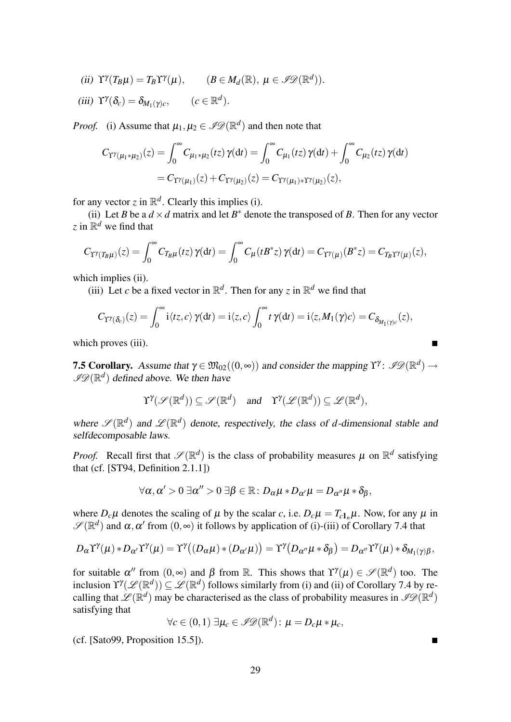- (*ii*)  $\Upsilon^{\gamma}(T_B \mu) = T_B \Upsilon^{\gamma}(\mu), \qquad (B \in M_d(\mathbb{R}), \ \mu \in \mathscr{I} \mathscr{D}(\mathbb{R}^d)).$
- (iii)  $\Upsilon^{\gamma}(\delta_c) = \delta_{M_1(\gamma)c}$ ,  $(c \in \mathbb{R}^d)$ .

*Proof.* (i) Assume that  $\mu_1, \mu_2 \in \mathscr{I}\mathscr{D}(\mathbb{R}^d)$  and then note that

$$
C_{\Upsilon^{\gamma}(\mu_1 * \mu_2)}(z) = \int_0^{\infty} C_{\mu_1 * \mu_2}(tz) \, \gamma(dt) = \int_0^{\infty} C_{\mu_1}(tz) \, \gamma(dt) + \int_0^{\infty} C_{\mu_2}(tz) \, \gamma(dt)
$$

$$
= C_{\Upsilon^{\gamma}(\mu_1)}(z) + C_{\Upsilon^{\gamma}(\mu_2)}(z) = C_{\Upsilon^{\gamma}(\mu_1) * \Upsilon^{\gamma}(\mu_2)}(z),
$$

for any vector  $z$  in  $\mathbb{R}^d$ . Clearly this implies (i).

(ii) Let *B* be a  $d \times d$  matrix and let  $B^*$  denote the transposed of *B*. Then for any vector *z* in  $\mathbb{R}^d$  we find that

$$
C_{\Upsilon\Upsilon(T_B\mu)}(z) = \int_0^\infty C_{T_B\mu}(tz)\,\gamma(\mathrm{d}t) = \int_0^\infty C_\mu(tB^*z)\,\gamma(\mathrm{d}t) = C_{\Upsilon\Upsilon(\mu)}(B^*z) = C_{T_B\Upsilon\Upsilon(\mu)}(z),
$$

which implies (ii).

(iii) Let *c* be a fixed vector in  $\mathbb{R}^d$ . Then for any *z* in  $\mathbb{R}^d$  we find that

$$
C_{\Upsilon\Upsilon(\delta_c)}(z) = \int_0^\infty i \langle tz, c \rangle \gamma(dt) = i \langle z, c \rangle \int_0^\infty t \gamma(dt) = i \langle z, M_1(\gamma)c \rangle = C_{\delta_{M_1(\gamma)c}}(z),
$$

which proves (iii).

**7.5 Corollary.** Assume that  $\gamma \in \mathfrak{M}_{02}((0, \infty))$  and consider the mapping  $\Upsilon^{\gamma}$ :  $\mathscr{P}(\mathbb{R}^d) \to$  $\mathscr{I}\mathscr{D}(\mathbb{R}^d)$  defined above. We then have

$$
\Upsilon^{\gamma}(\mathscr{S}(\mathbb{R}^d)) \subseteq \mathscr{S}(\mathbb{R}^d)
$$
 and  $\Upsilon^{\gamma}(\mathscr{L}(\mathbb{R}^d)) \subseteq \mathscr{L}(\mathbb{R}^d)$ ,

where  $\mathscr{S}(\mathbb{R}^d)$  and  $\mathscr{L}(\mathbb{R}^d)$  denote, respectively, the class of *d*-dimensional stable and selfdecomposable laws.

*Proof.* Recall first that  $\mathscr{S}(\mathbb{R}^d)$  is the class of probability measures  $\mu$  on  $\mathbb{R}^d$  satisfying that (cf. [ST94, Definition 2.1.1])

$$
\forall \alpha, \alpha' > 0 ~\exists \alpha'' > 0 ~\exists \beta \in \mathbb{R} : D_{\alpha}\mu * D_{\alpha'}\mu = D_{\alpha''}\mu * \delta_{\beta},
$$

where  $D_c\mu$  denotes the scaling of  $\mu$  by the scalar *c*, i.e.  $D_c\mu = T_{c1} \mu$ . Now, for any  $\mu$  in  $\mathscr{S}(\mathbb{R}^d)$  and  $\alpha, \alpha'$  from  $(0, \infty)$  it follows by application of (i)-(iii) of Corollary 7.4 that

$$
D_{\alpha} \Upsilon^{\gamma}(\mu) * D_{\alpha'} \Upsilon^{\gamma}(\mu) = \Upsilon^{\gamma}((D_{\alpha}\mu) * (D_{\alpha'}\mu)) = \Upsilon^{\gamma}(D_{\alpha''}\mu * \delta_{\beta}) = D_{\alpha''} \Upsilon^{\gamma}(\mu) * \delta_{M_1(\gamma)\beta},
$$

for suitable  $\alpha''$  from  $(0, \infty)$  and  $\beta$  from  $\mathbb{R}$ . This shows that  $\Upsilon^{\gamma}(\mu) \in \mathscr{S}(\mathbb{R}^d)$  too. The inclusion  $\Upsilon^{\gamma}(\mathscr{L}(\mathbb{R}^d)) \subseteq \mathscr{L}(\mathbb{R}^d)$  follows similarly from (i) and (ii) of Corollary 7.4 by recalling that  $\mathscr{L}(\mathbb{R}^d)$  may be characterised as the class of probability measures in  $\mathscr{PQ}(\mathbb{R}^d)$ satisfying that

$$
\forall c \in (0,1) \; \exists \mu_c \in \mathscr{I} \mathscr{D}(\mathbb{R}^d) : \mu = D_c \mu * \mu_c,
$$

 $(cf. [Sat099, Proposition 15.5]).$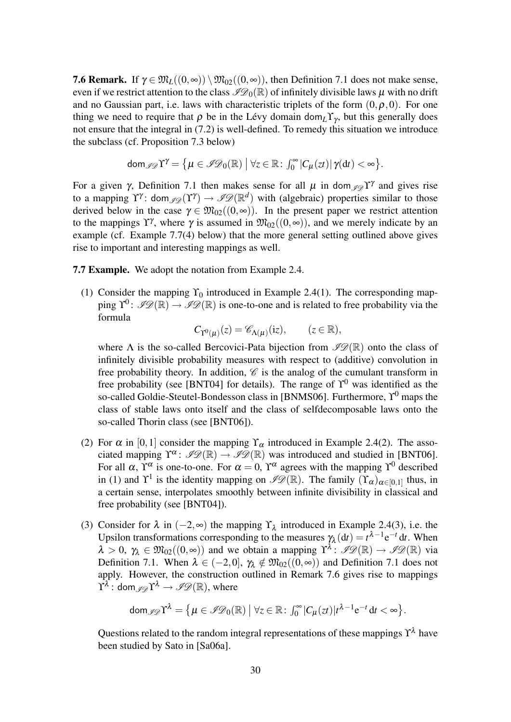**7.6 Remark.** If  $\gamma \in \mathfrak{M}_L((0,\infty)) \setminus \mathfrak{M}_{02}((0,\infty))$ , then Definition 7.1 does not make sense, even if we restrict attention to the class  $\mathscr{I}D_{0}(\mathbb{R})$  of infinitely divisible laws  $\mu$  with no drift and no Gaussian part, i.e. laws with characteristic triplets of the form  $(0, \rho, 0)$ . For one thing we need to require that  $\rho$  be in the Lévy domain dom<sub>L</sub>Y<sub>γ</sub>, but this generally does not ensure that the integral in (7.2) is well-defined. To remedy this situation we introduce the subclass (cf. Proposition 7.3 below)

$$
\text{dom}_{\mathscr{I}\mathscr{D}}\Upsilon^{\gamma} = \big\{\mu \in \mathscr{I}\mathscr{D}_0(\mathbb{R}) \bigm| \forall z \in \mathbb{R} \colon \int_0^\infty |C_\mu(zt)| \gamma(dt) < \infty \big\}.
$$

For a given  $\gamma$ , Definition 7.1 then makes sense for all  $\mu$  in dom  $\mathcal{I}(\mathcal{V})$  and gives rise to a mapping  $\Upsilon^{\gamma}$ : dom  $_{\mathscr{P}\mathscr{D}}(\Upsilon^{\gamma}) \to \mathscr{P}\mathscr{D}(\mathbb{R}^d)$  with (algebraic) properties similar to those derived below in the case  $\gamma \in \mathfrak{M}_{02}((0, \infty))$ . In the present paper we restrict attention to the mappings  $\Upsilon^{\gamma}$ , where  $\gamma$  is assumed in  $\mathfrak{M}_{02}((0, \infty))$ , and we merely indicate by an example (cf. Example 7.7(4) below) that the more general setting outlined above gives rise to important and interesting mappings as well.

7.7 Example. We adopt the notation from Example 2.4.

(1) Consider the mapping  $\Upsilon_0$  introduced in Example 2.4(1). The corresponding mapping  $\Upsilon^0$ :  $\mathscr{PD}(\mathbb{R}) \to \mathscr{PD}(\mathbb{R})$  is one-to-one and is related to free probability via the formula

> $C_{\Upsilon^0(\mu)}(z) = \mathscr{C}_{\Lambda(\mu)}$  $(z \in \mathbb{R}),$

where  $\Lambda$  is the so-called Bercovici-Pata bijection from  $\mathscr{PQ}(\mathbb{R})$  onto the class of infinitely divisible probability measures with respect to (additive) convolution in free probability theory. In addition,  $\mathscr C$  is the analog of the cumulant transform in free probability (see [BNT04] for details). The range of  $\Upsilon^0$  was identified as the so-called Goldie-Steutel-Bondesson class in [BNMS06]. Furthermore,  $\Upsilon^0$  maps the class of stable laws onto itself and the class of selfdecomposable laws onto the so-called Thorin class (see [BNT06]).

- (2) For  $\alpha$  in [0,1] consider the mapping  $\Upsilon_{\alpha}$  introduced in Example 2.4(2). The associated mapping  $\Upsilon^{\alpha}$ :  $\mathscr{ID}(\mathbb{R}) \to \mathscr{ID}(\mathbb{R})$  was introduced and studied in [BNT06]. For all  $\alpha$ ,  $\Upsilon^{\alpha}$  is one-to-one. For  $\alpha = 0$ ,  $\Upsilon^{\alpha}$  agrees with the mapping  $\Upsilon^{0}$  described in (1) and  $\Upsilon^1$  is the identity mapping on  $\mathscr{I}\mathscr{D}(\mathbb{R})$ . The family  $(\Upsilon_\alpha)_{\alpha\in[0,1]}$  thus, in a certain sense, interpolates smoothly between infinite divisibility in classical and free probability (see [BNT04]).
- (3) Consider for  $\lambda$  in  $(-2, \infty)$  the mapping  $\Upsilon_{\lambda}$  introduced in Example 2.4(3), i.e. the Upsilon transformations corresponding to the measures  $\gamma_{\lambda}$  (d*t*) =  $t^{\lambda-1}e^{-t}$  d*t*. When  $\lambda > 0$ ,  $\gamma_{\lambda} \in \mathfrak{M}_{02}((0, \infty))$  and we obtain a mapping  $\Upsilon^{\lambda}$ :  $\mathscr{P}\mathscr{D}(\mathbb{R}) \to \mathscr{P}\mathscr{D}(\mathbb{R})$  via Definition 7.1. When  $\lambda \in (-2,0], \gamma_{\lambda} \notin \mathfrak{M}_{02}((0,\infty))$  and Definition 7.1 does not apply. However, the construction outlined in Remark 7.6 gives rise to mappings  $\Upsilon^\lambda: \mathsf{dom}_\mathscr{I}\!\mathscr{D} \Upsilon^\lambda \to \mathscr{I}\!\mathscr{D}(\mathbb{R}),$  where

$$
\text{dom}_{\mathscr{I}\mathscr{D}}\Upsilon^{\lambda} = \big\{\mu \in \mathscr{I}\mathscr{D}_0(\mathbb{R}) \bigm| \forall z \in \mathbb{R} \colon \int_0^\infty |C_\mu(zt)| t^{\lambda - 1} e^{-t} dt < \infty \big\}.
$$

Questions related to the random integral representations of these mappings  $\Upsilon^{\lambda}$  have been studied by Sato in [Sa06a].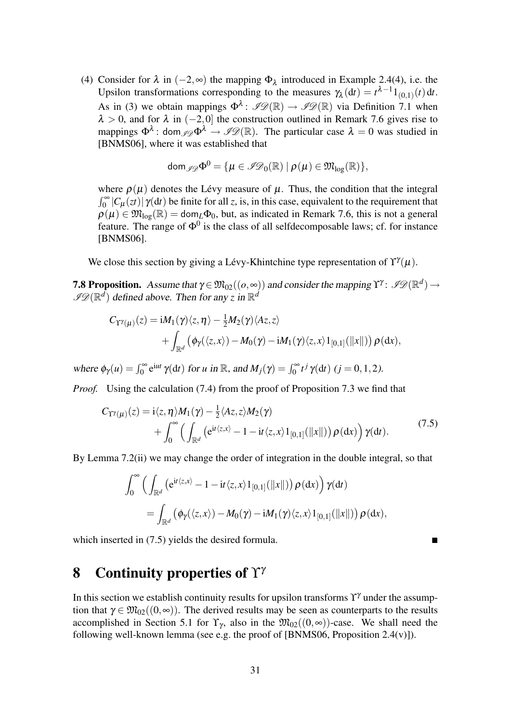(4) Consider for  $\lambda$  in  $(-2, \infty)$  the mapping  $\Phi_{\lambda}$  introduced in Example 2.4(4), i.e. the Upsilon transformations corresponding to the measures  $\gamma_{\lambda}(\text{d}t) = t^{\lambda-1}1_{(0,1)}(t)$  dt. As in (3) we obtain mappings  $\Phi^{\lambda}$ :  $\mathscr{P}\mathscr{D}(\mathbb{R}) \to \mathscr{P}\mathscr{D}(\mathbb{R})$  via Definition 7.1 when  $\lambda > 0$ , and for  $\lambda$  in (−2,0) the construction outlined in Remark 7.6 gives rise to mappings  $\Phi^{\lambda}$ : dom  $\mathscr{D} \Phi^{\lambda} \to \mathscr{D} \mathscr{D}(\mathbb{R})$ . The particular case  $\lambda = 0$  was studied in [BNMS06], where it was established that

$$
\mathsf{dom}_{\mathscr{I}\mathscr{D}}\Phi^0=\{\mu\in\mathscr{I}\mathscr{D}_0(\mathbb{R})~|~\rho(\mu)\in\mathfrak{M}_{\mathrm{log}}(\mathbb{R})\},
$$

where  $\rho(\mu)$  denotes the Lévy measure of  $\mu$ . Thus, the condition that the integral  $\int_0^{\infty} |C_\mu(zt)| \gamma(dt)$  be finite for all *z*, is, in this case, equivalent to the requirement that  $\rho(\mu) \in \mathfrak{M}_{\log}(\mathbb{R}) = \text{dom}_L \Phi_0$ , but, as indicated in Remark 7.6, this is not a general feature. The range of  $\Phi^0$  is the class of all selfdecomposable laws; cf. for instance [BNMS06].

We close this section by giving a Lévy-Khintchine type representation of  $\Upsilon^{\gamma}(\mu)$ .

**7.8 Proposition.** Assume that  $\gamma \in \mathfrak{M}_{02}((o, \infty))$  and consider the mapping  $\Upsilon^{\gamma}$ :  $\mathscr{P}\mathscr{D}(\mathbb{R}^d) \to$  $\mathscr{P}D(\mathbb{R}^d)$  defined above. Then for any *z* in  $\mathbb{R}^d$ 

$$
C_{\Upsilon^{\gamma}(\mu)}(z) = iM_1(\gamma)\langle z,\eta\rangle - \frac{1}{2}M_2(\gamma)\langle Az,z\rangle
$$
  
+ 
$$
\int_{\mathbb{R}^d} (\phi_{\gamma}(\langle z,x\rangle) - M_0(\gamma) - iM_1(\gamma)\langle z,x\rangle 1_{[0,1]}(||x||)) \rho(dx),
$$

where  $\phi_{\gamma}(u) = \int_0^{\infty} e^{iut} \gamma(dt)$  for *u* in R, and  $M_j(\gamma) = \int_0^{\infty} t^j \gamma(dt)$  (*j* = 0, 1, 2). *Proof.* Using the calculation (7.4) from the proof of Proposition 7.3 we find that

$$
C_{\Upsilon^{\gamma}(\mu)}(z) = \mathrm{i} \langle z, \eta \rangle M_1(\gamma) - \tfrac{1}{2} \langle Az, z \rangle M_2(\gamma)
$$

$$
+\int_0^\infty \Big(\int_{\mathbb{R}^d} \left(e^{it\langle z,x\rangle}-1-it\langle z,x\rangle 1_{[0,1]}(\|x\|)\right)\rho(\mathrm{d} x)\Big) \,\gamma(\mathrm{d} t). \tag{7.5}
$$

By Lemma 7.2(ii) we may change the order of integration in the double integral, so that

$$
\int_0^\infty \Big( \int_{\mathbb{R}^d} \left( e^{it \langle z, x \rangle} - 1 - it \langle z, x \rangle \mathbb{1}_{[0,1]}(\|x\|) \right) \rho(\mathrm{d}x) \Big) \gamma(\mathrm{d}t) \n= \int_{\mathbb{R}^d} \left( \phi_\gamma(\langle z, x \rangle) - M_0(\gamma) - i M_1(\gamma) \langle z, x \rangle \mathbb{1}_{[0,1]}(\|x\|) \right) \rho(\mathrm{d}x),
$$

which inserted in (7.5) yields the desired formula.

# 8 Continuity properties of  $\Upsilon^{\gamma}$

In this section we establish continuity results for upsilon transforms  $\Upsilon^{\gamma}$  under the assumption that  $\gamma \in \mathfrak{M}_{02}((0,\infty))$ . The derived results may be seen as counterparts to the results accomplished in Section 5.1 for  $\Upsilon_{\gamma}$ , also in the  $\mathfrak{M}_{02}((0, \infty))$ -case. We shall need the following well-known lemma (see e.g. the proof of [BNMS06, Proposition 2.4(v)]).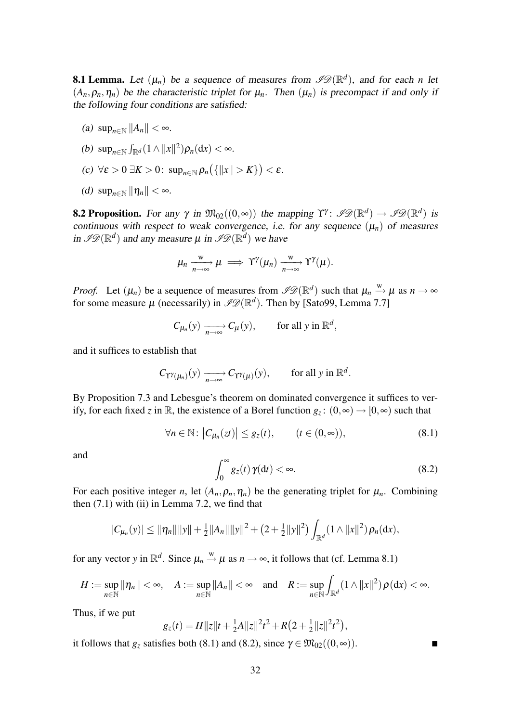**8.1 Lemma.** Let  $(\mu_n)$  be a sequence of measures from  $\mathscr{P}\mathscr{D}(\mathbb{R}^d)$ , and for each *n* let  $(A_n, \rho_n, \eta_n)$  be the characteristic triplet for  $\mu_n$ . Then  $(\mu_n)$  is precompact if and only if the following four conditions are satisfied:

(a)  $\sup_{n\in\mathbb{N}}||A_n|| < \infty$ .

(b) 
$$
\sup_{n\in\mathbb{N}} \int_{\mathbb{R}^d} (1 \wedge ||x||^2) \rho_n(\mathrm{d}x) < \infty.
$$

- (c)  $\forall \varepsilon > 0 \ \exists K > 0$ :  $\sup_{n \in \mathbb{N}} \rho_n(\{\Vert x \Vert > K\}) < \varepsilon$ .
- (d)  $\sup_{n\in\mathbb{N}}\|\eta_n\| < \infty$ .

**8.2 Proposition.** For any  $\gamma$  in  $\mathfrak{M}_{02}((0,\infty))$  the mapping  $\Upsilon^{\gamma}$ :  $\mathscr{P}\mathscr{D}(\mathbb{R}^d) \to \mathscr{P}\mathscr{D}(\mathbb{R}^d)$  is continuous with respect to weak convergence, i.e. for any sequence  $(\mu_n)$  of measures in  $\mathscr{ID}(\mathbb{R}^d)$  and any measure  $\mu$  in  $\mathscr{ID}(\mathbb{R}^d)$  we have

$$
\mu_n \xrightarrow[n \to \infty]{\mathcal{W}} \mu \implies \Upsilon^{\gamma}(\mu_n) \xrightarrow[n \to \infty]{\mathcal{W}} \Upsilon^{\gamma}(\mu).
$$

*Proof.* Let  $(\mu_n)$  be a sequence of measures from  $\mathscr{P}(\mathbb{R}^d)$  such that  $\mu_n \stackrel{w}{\rightarrow} \mu$  as  $n \rightarrow \infty$ for some measure  $\mu$  (necessarily) in  $\mathscr{I}\mathscr{D}(\mathbb{R}^d)$ . Then by [Sato99, Lemma 7.7]

$$
C_{\mu_n}(y) \xrightarrow[n \to \infty]{} C_{\mu}(y), \quad \text{for all } y \text{ in } \mathbb{R}^d,
$$

and it suffices to establish that

$$
C_{\Upsilon^{\gamma}(\mu_n)}(y) \xrightarrow[n \to \infty]{} C_{\Upsilon^{\gamma}(\mu)}(y), \quad \text{for all } y \text{ in } \mathbb{R}^d.
$$

By Proposition 7.3 and Lebesgue's theorem on dominated convergence it suffices to verify, for each fixed *z* in R, the existence of a Borel function  $g_z: (0, \infty) \to [0, \infty)$  such that

$$
\forall n \in \mathbb{N}: \left| C_{\mu_n}(zt) \right| \leq g_z(t), \qquad (t \in (0, \infty)), \tag{8.1}
$$

and

$$
\int_0^\infty g_z(t)\,\gamma(\mathrm{d}t) < \infty.\tag{8.2}
$$

For each positive integer *n*, let  $(A_n, \rho_n, \eta_n)$  be the generating triplet for  $\mu_n$ . Combining then  $(7.1)$  with  $(ii)$  in Lemma 7.2, we find that

$$
|C_{\mu_n}(y)| \leq \|\eta_n\| \|y\| + \frac{1}{2} \|A_n\| \|y\|^2 + \left(2 + \frac{1}{2} \|y\|^2\right) \int_{\mathbb{R}^d} (1 \wedge \|x\|^2) \rho_n(\mathrm{d}x),
$$

for any vector *y* in  $\mathbb{R}^d$ . Since  $\mu_n \stackrel{w}{\rightarrow} \mu$  as  $n \rightarrow \infty$ , it follows that (cf. Lemma 8.1)

$$
H:=\sup_{n\in\mathbb{N}}\|\eta_n\|<\infty,\quad A:=\sup_{n\in\mathbb{N}}\|A_n\|<\infty\quad\text{and}\quad R:=\sup_{n\in\mathbb{N}}\int_{\mathbb{R}^d}(1\wedge\|x\|^2)\,\rho(\mathrm{d} x)<\infty.
$$

Thus, if we put

$$
g_z(t) = H ||z||t + \frac{1}{2}A ||z||^2 t^2 + R(2 + \frac{1}{2} ||z||^2 t^2),
$$

it follows that  $g_z$  satisfies both (8.1) and (8.2), since  $\gamma \in \mathfrak{M}_{02}((0, \infty))$ .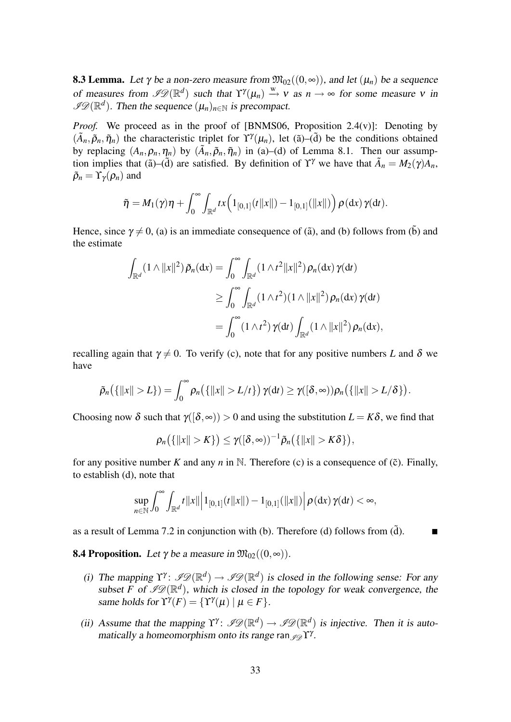**8.3 Lemma.** Let  $\gamma$  be a non-zero measure from  $\mathfrak{M}_{02}((0, \infty))$ , and let  $(\mu_n)$  be a sequence of measures from  $\mathscr{P}(\mathbb{R}^d)$  such that  $\Upsilon^{\gamma}(\mu_n) \stackrel{w}{\rightarrow} v$  as  $n \rightarrow \infty$  for some measure v in  $\mathscr{I}\mathscr{D}(\mathbb{R}^d)$ . Then the sequence  $(\mu_n)_{n\in\mathbb{N}}$  is precompact.

*Proof.* We proceed as in the proof of [BNMS06, Proposition 2.4(v)]: Denoting by  $(\tilde{A}_n, \tilde{p}_n, \tilde{\eta}_n)$  the characteristic triplet for  $\Upsilon^{\gamma}(\mu_n)$ , let ( $\tilde{a}$ )–( $\tilde{d}$ ) be the conditions obtained by replacing  $(A_n, \rho_n, \eta_n)$  by  $(\tilde{A}_n, \tilde{\rho}_n, \tilde{\eta}_n)$  in (a)–(d) of Lemma 8.1. Then our assumption implies that ( $\tilde{a}$ )–( $\tilde{d}$ ) are satisfied. By definition of  $\Upsilon^{\gamma}$  we have that  $\tilde{A}_n = M_2(\gamma)A_n$ ,  $\tilde{\rho}_n = \Upsilon_{\gamma}(\rho_n)$  and

$$
\tilde{\eta} = M_1(\gamma)\eta + \int_0^{\infty} \int_{\mathbb{R}^d} tx \Big(1_{[0,1]}(t||x||) - 1_{[0,1]}(||x||)\Big) \rho(\mathrm{d}x) \gamma(\mathrm{d}t).
$$

Hence, since  $\gamma \neq 0$ , (a) is an immediate consequence of ( $\tilde{a}$ ), and (b) follows from ( $\tilde{b}$ ) and the estimate

$$
\int_{\mathbb{R}^d} (1 \wedge ||x||^2) \tilde{\rho}_n(\mathrm{d}x) = \int_0^\infty \int_{\mathbb{R}^d} (1 \wedge t^2 ||x||^2) \rho_n(\mathrm{d}x) \gamma(\mathrm{d}t)
$$
  
\n
$$
\geq \int_0^\infty \int_{\mathbb{R}^d} (1 \wedge t^2) (1 \wedge ||x||^2) \rho_n(\mathrm{d}x) \gamma(\mathrm{d}t)
$$
  
\n
$$
= \int_0^\infty (1 \wedge t^2) \gamma(\mathrm{d}t) \int_{\mathbb{R}^d} (1 \wedge ||x||^2) \rho_n(\mathrm{d}x),
$$

recalling again that  $\gamma \neq 0$ . To verify (c), note that for any positive numbers *L* and  $\delta$  we have

$$
\tilde{\rho}_n\big(\{\|x\|>L\}\big)=\int_0^\infty\rho_n\big(\{\|x\|>L/t\}\big)\,\gamma(\mathrm{d} t)\geq\gamma([\delta,\infty))\rho_n\big(\{\|x\|>L/\delta\}\big).
$$

Choosing now  $\delta$  such that  $\gamma([\delta,\infty)) > 0$  and using the substitution  $L = K\delta$ , we find that

$$
\rho_n\big(\{\|x\|>K\}\big)\leq \gamma([\delta,\infty))^{-1}\tilde{\rho}_n\big(\{\|x\|>K\delta\}\big),
$$

for any positive number *K* and any *n* in N. Therefore (c) is a consequence of ( $\tilde{c}$ ). Finally, to establish (d), note that

$$
\sup_{n\in\mathbb{N}} \int_0^\infty \int_{\mathbb{R}^d} t \|x\| \Bigl\|1_{[0,1]}(t \|x\|) - 1_{[0,1]}(\|x\|) \Bigr| \, \rho(\mathrm{d} x) \, \gamma(\mathrm{d} t) < \infty,
$$

as a result of Lemma 7.2 in conjunction with (b). Therefore (d) follows from  $(\tilde{d})$ .

**8.4 Proposition.** Let  $\gamma$  be a measure in  $\mathfrak{M}_{02}((0, \infty))$ .

- (i) The mapping  $\Upsilon^{\gamma}$ :  $\mathscr{P}(\mathbb{R}^d) \to \mathscr{P}(\mathbb{R}^d)$  is closed in the following sense: For any subset *F* of  $\mathscr{P}(\mathbb{R}^d)$ , which is closed in the topology for weak convergence, the same holds for  $\Upsilon^{\gamma}(F) = {\Upsilon^{\gamma}(\mu) | \mu \in F}.$
- (ii) Assume that the mapping  $\Upsilon^{\gamma}$ :  $\mathscr{P}(\mathbb{R}^d) \to \mathscr{P}(\mathbb{R}^d)$  is injective. Then it is automatically a homeomorphism onto its range ran  $\mathscr{I} \mathscr{D} \Upsilon^{\gamma}$ .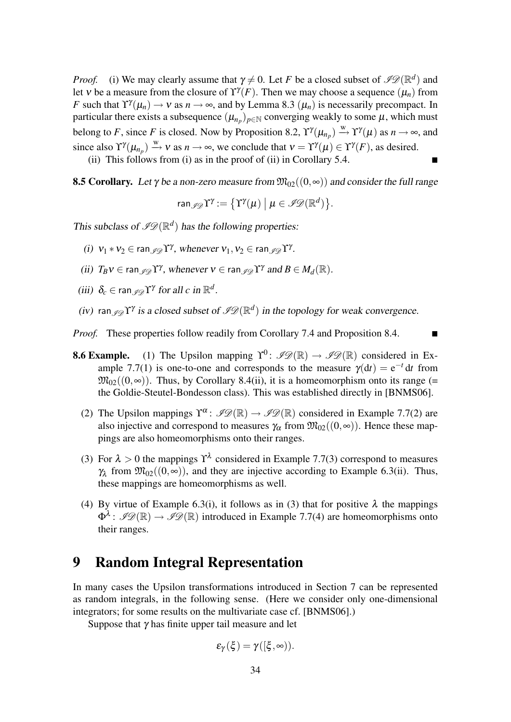*Proof.* (i) We may clearly assume that  $\gamma \neq 0$ . Let *F* be a closed subset of  $\mathscr{PQ}(\mathbb{R}^d)$  and let v be a measure from the closure of  $\Upsilon^{\gamma}(F)$ . Then we may choose a sequence  $(\mu_n)$  from *F* such that  $\Upsilon^{\gamma}(\mu_n) \to \nu$  as  $n \to \infty$ , and by Lemma 8.3  $(\mu_n)$  is necessarily precompact. In particular there exists a subsequence  $(\mu_{n_p})_{p \in \mathbb{N}}$  converging weakly to some  $\mu$ , which must belong to *F*, since *F* is closed. Now by Proposition 8.2,  $\Upsilon^{\gamma}(\mu_{n_p}) \xrightarrow{w} \Upsilon^{\gamma}(\mu)$  as  $n \to \infty$ , and since also  $\Upsilon^{\gamma}(\mu_{n_p}) \stackrel{w}{\rightarrow} v$  as  $n \rightarrow \infty$ , we conclude that  $v = \Upsilon^{\gamma}(\mu) \in \Upsilon^{\gamma}(F)$ , as desired.

(ii) This follows from (i) as in the proof of (ii) in Corollary 5.4.

**8.5 Corollary.** Let  $\gamma$  be a non-zero measure from  $\mathfrak{M}_{02}((0, \infty))$  and consider the full range

$$
\mathrm{ran}_{\mathscr{I}\!\mathscr{D}}\Upsilon^{\gamma}:=\big\{\Upsilon^{\gamma}(\mu)\;\big|\;\mu\in\mathscr{I}\!\mathscr{D}(\mathbb{R}^d)\big\}.
$$

This subclass of  $\mathscr{P} \mathscr{D}(\mathbb{R}^d)$  has the following properties:

- (i)  $v_1 * v_2 \in \text{ran}_{\mathscr{I} \mathscr{D}} \Upsilon^{\gamma}$ , whenever  $v_1, v_2 \in \text{ran}_{\mathscr{I} \mathscr{D}} \Upsilon^{\gamma}$ .
- (ii)  $T_B v \in \text{ran}_{\mathscr{I} \mathscr{D}} \Upsilon^{\gamma}$ , whenever  $v \in \text{ran}_{\mathscr{I} \mathscr{D}} \Upsilon^{\gamma}$  and  $B \in M_d(\mathbb{R})$ .
- (iii)  $\delta_c \in \text{ran}_{\mathscr{I} \mathscr{D}} \Upsilon^{\gamma}$  for all *c* in  $\mathbb{R}^d$ .
- (iv) ran  $\mathcal{I} \mathcal{D} \mathcal{I}^{\gamma}$  is a closed subset of  $\mathcal{I} \mathcal{D}(\mathbb{R}^d)$  in the topology for weak convergence.

*Proof.* These properties follow readily from Corollary 7.4 and Proposition 8.4.

- **8.6 Example.** (1) The Upsilon mapping  $\Upsilon^0$ :  $\mathscr{P}\mathscr{Q}(\mathbb{R}) \to \mathscr{P}\mathscr{Q}(\mathbb{R})$  considered in Example 7.7(1) is one-to-one and corresponds to the measure  $\gamma(dt) = e^{-t} dt$  from  $\mathfrak{M}_{02}((0, \infty))$ . Thus, by Corollary 8.4(ii), it is a homeomorphism onto its range (= the Goldie-Steutel-Bondesson class). This was established directly in [BNMS06].
	- (2) The Upsilon mappings  $\Upsilon^{\alpha}$ :  $\mathscr{P}\mathscr{D}(\mathbb{R}) \to \mathscr{P}\mathscr{D}(\mathbb{R})$  considered in Example 7.7(2) are also injective and correspond to measures  $\gamma_\alpha$  from  $\mathfrak{M}_{02}((0, \infty))$ . Hence these mappings are also homeomorphisms onto their ranges.
	- (3) For  $\lambda > 0$  the mappings  $\Upsilon^{\lambda}$  considered in Example 7.7(3) correspond to measures  $\gamma_{\lambda}$  from  $\mathfrak{M}_{02}((0,\infty))$ , and they are injective according to Example 6.3(ii). Thus, these mappings are homeomorphisms as well.
	- (4) By virtue of Example 6.3(i), it follows as in (3) that for positive  $\lambda$  the mappings  $\Phi^{\lambda}$ :  $\mathscr{P}(\mathbb{R}) \to \mathscr{P}(\mathbb{R})$  introduced in Example 7.7(4) are homeomorphisms onto their ranges.

### 9 Random Integral Representation

In many cases the Upsilon transformations introduced in Section 7 can be represented as random integrals, in the following sense. (Here we consider only one-dimensional integrators; for some results on the multivariate case cf. [BNMS06].)

Suppose that  $\gamma$  has finite upper tail measure and let

$$
\epsilon_{\gamma}(\xi)=\gamma([\xi,\infty)).
$$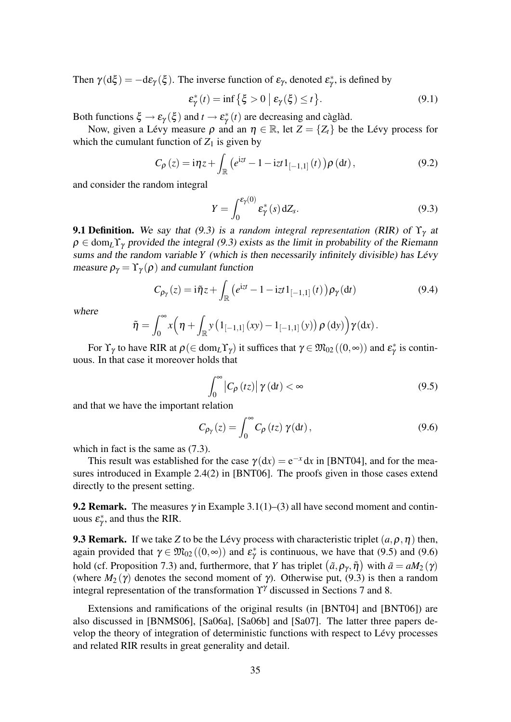Then  $\gamma(d\xi) = -d\varepsilon_{\gamma}(\xi)$ . The inverse function of  $\varepsilon_{\gamma}$ , denoted  $\varepsilon_{\gamma}^{*}$ , is defined by

$$
\varepsilon_{\gamma}^*(t) = \inf \left\{ \xi > 0 \mid \varepsilon_{\gamma}(\xi) \le t \right\}.
$$
\n(9.1)

Both functions  $\xi \to \varepsilon_{\gamma}(\xi)$  and  $t \to \varepsilon_{\gamma}^*(t)$  are decreasing and càglàd.

Now, given a Lévy measure  $\rho$  and an  $\eta \in \mathbb{R}$ , let  $Z = \{Z_t\}$  be the Lévy process for which the cumulant function of  $Z_1$  is given by

$$
C_{\rho}(z) = i\eta z + \int_{\mathbb{R}} \left( e^{izt} - 1 - izt \, 1_{[-1,1]}(t) \right) \rho \left( dt \right),\tag{9.2}
$$

and consider the random integral

$$
Y = \int_0^{\varepsilon_\gamma(0)} \varepsilon_\gamma^*(s) \, dZ_s. \tag{9.3}
$$

**9.1 Definition.** We say that (9.3) is a *random integral representation* (RIR) of  $\Upsilon_{\gamma}$  at  $\rho \in \text{dom}_L \Upsilon_\gamma$  provided the integral (9.3) exists as the limit in probability of the Riemann sums and the random variable  $Y$  (which is then necessarily infinitely divisible) has Lévy measure  $\rho_{\gamma} = \Upsilon_{\gamma}(\rho)$  and cumulant function

$$
C_{\rho_{\gamma}}(z) = \mathrm{i}\tilde{\eta}z + \int_{\mathbb{R}} \left( e^{\mathrm{i}zt} - 1 - \mathrm{i}zt \, 1_{[-1,1]}(t) \right) \rho_{\gamma}(\mathrm{d}t) \tag{9.4}
$$

where

$$
\tilde{\eta} = \int_0^\infty x \Big( \eta + \int_{\mathbb{R}} y \big( 1_{[-1,1]}(xy) - 1_{[-1,1]}(y) \big) \rho \big( dy \big) \Big) \gamma(dx) .
$$

For  $\Upsilon_{\gamma}$  to have RIR at  $\rho(\in \text{dom}_{L}\Upsilon_{\gamma})$  it suffices that  $\gamma \in \mathfrak{M}_{02}((0, \infty))$  and  $\varepsilon_{\gamma}^{*}$  is continuous. In that case it moreover holds that

$$
\int_0^\infty \left| C_\rho \left( tz \right) \right| \gamma \left( dt \right) < \infty \tag{9.5}
$$

and that we have the important relation

$$
C_{\rho_{\gamma}}(z) = \int_0^{\infty} C_{\rho}(tz) \gamma(dt), \qquad (9.6)
$$

which in fact is the same as (7.3).

This result was established for the case  $\gamma(dx) = e^{-x} dx$  in [BNT04], and for the measures introduced in Example 2.4(2) in [BNT06]. The proofs given in those cases extend directly to the present setting.

**9.2 Remark.** The measures  $\gamma$  in Example 3.1(1)–(3) all have second moment and continuous  $\varepsilon_{\gamma}^{*}$ , and thus the RIR.

**9.3 Remark.** If we take *Z* to be the Lévy process with characteristic triplet  $(a, \rho, \eta)$  then, again provided that  $\gamma \in \mathfrak{M}_{02}((0, \infty))$  and  $\varepsilon_{\gamma}^{*}$  is continuous, we have that (9.5) and (9.6) hold (cf. Proposition 7.3) and, furthermore, that *Y* has triplet  $(\tilde{a}, \rho_{\gamma}, \tilde{\eta})$  with  $\tilde{a} = aM_2(\gamma)$ (where  $M_2(\gamma)$  denotes the second moment of  $\gamma$ ). Otherwise put, (9.3) is then a random integral representation of the transformation  $\Upsilon^{\gamma}$  discussed in Sections 7 and 8.

Extensions and ramifications of the original results (in [BNT04] and [BNT06]) are also discussed in [BNMS06], [Sa06a], [Sa06b] and [Sa07]. The latter three papers develop the theory of integration of deterministic functions with respect to Levy processes ´ and related RIR results in great generality and detail.